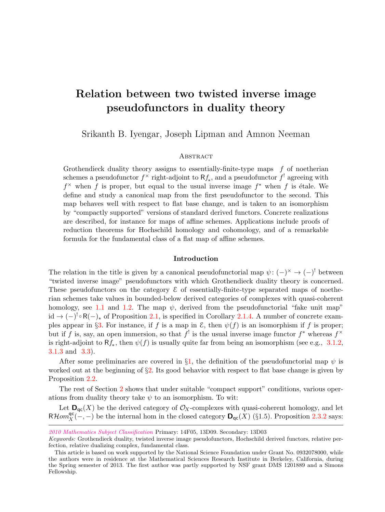# Relation between two twisted inverse image pseudofunctors in duality theory

Srikanth B. Iyengar, Joseph Lipman and Amnon Neeman

# **ABSTRACT**

Grothendieck duality theory assigns to essentially-finite-type maps  $f$  of noetherian schemes a pseudofunctor  $f^{\times}$  right-adjoint to  $Rf_{*}$ , and a pseudofunctor  $f'$  agreeing with  $f^{\times}$  when f is proper, but equal to the usual inverse image  $f^*$  when f is étale. We define and study a canonical map from the first pseudofunctor to the second. This map behaves well with respect to flat base change, and is taken to an isomorphism by "compactly supported" versions of standard derived functors. Concrete realizations are described, for instance for maps of affine schemes. Applications include proofs of reduction theorems for Hochschild homology and cohomology, and of a remarkable formula for the fundamental class of a flat map of affine schemes.

#### Introduction

The relation in the title is given by a canonical pseudofunctorial map  $\psi: (-)^{\times} \to (-)^{!}$  between "twisted inverse image" pseudofunctors with which Grothendieck duality theory is concerned. These pseudofunctors on the category  $\mathcal E$  of essentially-finite-type separated maps of noetherian schemes take values in bounded-below derived categories of complexes with quasi-coherent homology, see [1.1](#page-2-0) and [1.2.](#page-3-0) The map  $\psi$ , derived from the pseudofunctorial "fake unit map"  $\mathrm{id} \to (-)^{!} \circ \mathsf{R}(-)_{*}$  of Proposition [2.1,](#page-5-0) is specified in Corollary [2.1.4.](#page-8-0) A number of concrete exam-ples appear in §[3.](#page-13-0) For instance, if f is a map in  $\mathcal E$ , then  $\psi(f)$  is an isomorphism if f is proper; but if f is, say, an open immersion, so that  $f^!$  is the usual inverse image functor  $f^*$  whereas  $f^*$ is right-adjoint to  $Rf_*,$  then  $\psi(f)$  is usually quite far from being an isomorphism (see e.g., [3.1.2,](#page-14-0) [3.1.3](#page-14-1) and [3.3\)](#page-18-0).

After some preliminaries are covered in §[1,](#page-2-1) the definition of the pseudofunctorial map  $\psi$  is worked out at the beginning of  $\S2$ . Its good behavior with respect to flat base change is given by Proposition [2.2.](#page-9-0)

The rest of Section [2](#page-4-0) shows that under suitable "compact support" conditions, various operations from duality theory take  $\psi$  to an isomorphism. To wit:

Let  $\mathbf{D}_{\mathsf{qc}}(X)$  be the derived category of  $\mathcal{O}_X$ -complexes with quasi-coherent homology, and let  $R\mathcal{H}om_X^{\mathsf{qc}}(-,-)$  be the internal hom in the closed category  $\mathbf{D}_{\mathsf{qc}}(X)$  (§1.5). Proposition [2.3.2](#page-10-0) says:

[<sup>2010</sup> Mathematics Subject Classification](http://www.ams.org/msc/) Primary: 14F05, 13D09. Secondary: 13D03

Keywords: Grothendieck duality, twisted inverse image pseudofunctors, Hochschild derived functors, relative perfection, relative dualizing complex, fundamental class.

This article is based on work supported by the National Science Foundation under Grant No. 0932078000, while the authors were in residence at the Mathematical Sciences Research Institute in Berkeley, California, during the Spring semester of 2013. The first author was partly supported by NSF grant DMS 1201889 and a Simons Fellowship.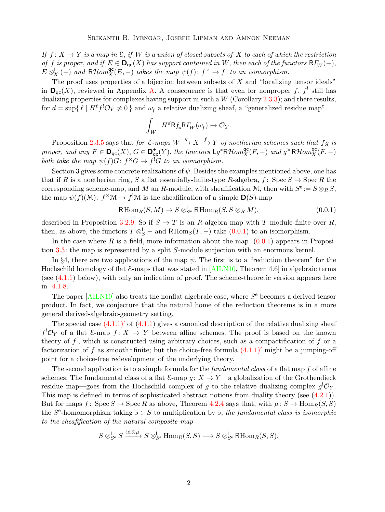<span id="page-1-1"></span>If  $f: X \to Y$  is a map in  $\mathcal{E}$ , if W is a union of closed subsets of X to each of which the restriction of f is proper, and if  $E \in \mathbf{D}_{\text{qc}}(X)$  has support contained in W, then each of the functors  $\mathsf{R}\Gamma_W(-)$ ,  $E \otimes_X^{\mathsf{L}} (-)$  and  $R\mathcal{H}om_X^{\mathsf{qc}}(E,-)$  takes the map  $\psi(f) \colon f^{\times} \to f^!$  to an isomorphism.

The proof uses properties of a bijection between subsets of  $X$  and "localizing tensor ideals" in  $\mathbf{D}_{\mathsf{qc}}(X)$ , reviewed in Appendix [A.](#page-24-0) A consequence is that even for nonproper f, f still has dualizing properties for complexes having support in such a  $W$  (Corollary [2.3.3\)](#page-11-0); and there results, for  $d = \sup \{ \ell \mid H^{\ell} f^! \mathcal{O}_Y \neq 0 \}$  and  $\omega_f$  a relative dualizing sheaf, a "generalized residue map"

$$
\int_W : H^d \mathsf{R} f_* \mathsf{R} \Gamma_W(\omega_f) \to \mathcal{O}_Y.
$$

Proposition [2.3.5](#page-12-0) says that for  $\mathcal{E}\text{-maps }W \stackrel{g}{\rightarrow} X \stackrel{f}{\rightarrow} Y$  of noetherian schemes such that fg is proper, and any  $F \in \mathbf{D}_{\mathsf{qc}}(X)$ ,  $G \in \mathbf{D}_{\mathsf{qc}}^{\dagger}(Y)$ , the functors  $\mathsf{L}g^*R\mathcal{H}om_X^{\mathsf{qc}}(F,-)$  and  $g^\times R\mathcal{H}om_X^{\mathsf{qc}}(F,-)$ both take the map  $\psi(f)G: f^{\times}G \to f^!G$  to an isomorphism.

Section 3 gives some concrete realizations of  $\psi$ . Besides the examples mentioned above, one has that if R is a noetherian ring, S a flat essentially-finite-type R-algebra,  $f: Spec S \rightarrow Spec R$  the corresponding scheme-map, and M an R-module, with sheafification M, then with  $S^{\mathsf{e}} := S \otimes_R S$ , the map  $\psi(f)(\mathcal{M}) : f^{\times} \mathcal{M} \to f^{!} \mathcal{M}$  is the sheafification of a simple  $\mathbf{D}(S)$ -map

<span id="page-1-0"></span>
$$
\mathsf{R}\operatorname{Hom}_R(S,M) \to S \otimes_{S^e}^{\mathsf{L}} \mathsf{R}\operatorname{Hom}_R(S, S \otimes_R M),\tag{0.0.1}
$$

described in Proposition [3.2.9.](#page-18-1) So if  $S \to T$  is an R-algebra map with T module-finite over R, then, as above, the functors  $T \otimes_S^{\mathsf{L}}$  – and  $\mathsf{R}\text{Hom}_S(T, -)$  take  $(0.0.1)$  to an isomorphism.

In the case where R is a field, more information about the map  $(0.0.1)$  appears in Proposition [3.3:](#page-18-0) the map is represented by a split S-module surjection with an enormous kernel.

In §4, there are two applications of the map  $\psi$ . The first is to a "reduction theorem" for the Hochschild homology of flat  $\mathcal{E}$ -maps that was stated in [\[AILN10,](#page-28-0) Theorem 4.6] in algebraic terms (see [\(4.1.1\)](#page-19-0) below), with only an indication of proof. The scheme-theoretic version appears here in [4.1.8.](#page-21-0)

The paper  $[ALN10]$  also treats the nonflat algebraic case, where  $S<sup>e</sup>$  becomes a derived tensor product. In fact, we conjecture that the natural home of the reduction theorems is in a more general derived-algebraic-geometry setting.

The special case  $(4.1.1)'$  $(4.1.1)'$  of  $(4.1.1)$  gives a canonical description of the relative dualizing sheaf  $f^! \mathcal{O}_Y$  of a flat E-map  $f: X \to Y$  between affine schemes. The proof is based on the known theory of  $f^!$ , which is constructed using arbitrary choices, such as a compactification of f or a factorization of f as smooth∘finite; but the choice-free formula  $(4.1.1)'$  $(4.1.1)'$  might be a jumping-off point for a choice-free redevelopment of the underlying theory.

The second application is to a simple formula for the *fundamental class* of a flat map f of affine schemes. The fundamental class of a flat  $\mathcal{E}$ -map  $g: X \to Y$ —a globalization of the Grothendieck residue map—goes from the Hochschild complex of g to the relative dualizing complex  $g^{!}\mathcal{O}_{Y}$ . This map is defined in terms of sophisticated abstract notions from duality theory (see [\(4.2.1\)](#page-22-0)). But for maps f: Spec  $S \to \text{Spec } R$  as above, Theorem [4.2.4](#page-24-1) says that, with  $\mu: S \to \text{Hom}_R(S, S)$ the  $S^e$ -homomorphism taking  $s \in S$  to multiplication by s, the fundamental class is isomorphic to the sheafification of the natural composite map

$$
S\otimes^{\mathsf{L}}_{S^{\mathsf{e}}} S \xrightarrow{\operatorname{id}\otimes\mu} S\otimes^{\mathsf{L}}_{S^{\mathsf{e}}} \operatorname{Hom}_R(S,S) \longrightarrow S\otimes^{\mathsf{L}}_{S^{\mathsf{e}}} \operatorname{RHom}_R(S,S).
$$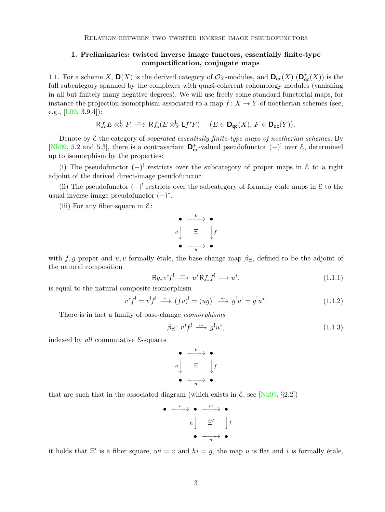# <span id="page-2-5"></span><span id="page-2-1"></span>1. Preliminaries: twisted inverse image functors, essentially finite-type compactification, conjugate maps

<span id="page-2-0"></span>1.1. For a scheme X,  $\mathbf{D}(X)$  is the derived category of  $\mathcal{O}_X$ -modules, and  $\mathbf{D}_{\text{qc}}(X)$   $(\mathbf{D}_{\text{qc}}^+(X))$  is the full subcategory spanned by the complexes with quasi-coherent cohomology modules (vanishing in all but finitely many negative degrees). We will use freely some standard functorial maps, for instance the projection isomorphism associated to a map  $f: X \to Y$  of noetherian schemes (see, e.g.,  $[L09, 3.9.4]$ :

$$
\mathsf{R} f_* E \otimes_Y^{\mathsf{L}} F \xrightarrow{\sim} \mathsf{R} f_*(E \otimes_X^{\mathsf{L}} \mathsf{L} f^* F) \quad \big( E \in \mathsf{D}_{\mathsf{qc}}(X), \, F \in \mathsf{D}_{\mathsf{qc}}(Y) \big).
$$

Denote by  $\mathcal E$  the category of separated essentially-finite-type maps of noetherian schemes. By [\[Nk09,](#page-28-2) 5.2 and 5.3], there is a contravariant  $\mathbf{D}_{qc}^+$ -valued pseudofunctor  $(-)$ <sup>!</sup> over  $\mathcal{E}$ , determined up to isomorphism by the properties:

(i) The pseudofunctor  $(-)^!$  restricts over the subcategory of proper maps in  $\mathcal E$  to a right adjoint of the derived direct-image pseudofunctor.

(ii) The pseudofunctor  $(-)^!$  restricts over the subcategory of formally étale maps in  $\mathcal E$  to the usual inverse-image pseudofunctor  $(-)^*$ .

(iii) For any fiber square in  $\mathcal{E}$ :

$$
\begin{array}{c}\n\bullet \quad \xrightarrow{v} \quad \bullet \\
g \downarrow \quad \Xi \quad \downarrow f \\
\bullet \quad \xrightarrow{u} \quad \bullet\n\end{array}
$$

with f, g proper and u, v formally étale, the base-change map  $\beta_{\Xi}$ , defined to be the adjoint of the natural composition

<span id="page-2-2"></span>
$$
\mathsf{R}g_* v^* f^! \xrightarrow{\sim} u^* \mathsf{R}f_* f^! \longrightarrow u^*,\tag{1.1.1}
$$

is equal to the natural composite isomorphism

<span id="page-2-3"></span>
$$
v^*f^! = v^!f^! \xrightarrow{\sim} (fv)^! = (ug)^! \xrightarrow{\sim} g^!u^! = g^!u^*.
$$
 (1.1.2)

There is in fact a family of base-change isomorphisms

<span id="page-2-4"></span>
$$
\beta \equiv : v^* f^! \xrightarrow{\sim} g^! u^*, \tag{1.1.3}
$$

indexed by *all* commutative  $\mathcal{E}$ -squares

$$
\begin{array}{c}\n\bullet \quad \xrightarrow{v} \quad \bullet \\
g \downarrow \quad \Xi \quad \downarrow f \\
\bullet \quad \xrightarrow{u} \quad \bullet\n\end{array}
$$

that are such that in the associated diagram (which exists in  $\mathcal{E}$ , see [\[Nk09,](#page-28-2) §2.2])

$$
\begin{array}{ccccccc}\n\bullet & \xrightarrow{\quad i\quad} & \bullet & \xrightarrow{\quad w\quad} & \bullet \\
& & & h & \xrightarrow{\quad \Xi' & \downarrow f} \\
& & & & \bullet & \xrightarrow{\quad u\quad} & \bullet\n\end{array}
$$

it holds that  $\Xi'$  is a fiber square,  $wi = v$  and  $hi = g$ , the map u is flat and i is formally étale,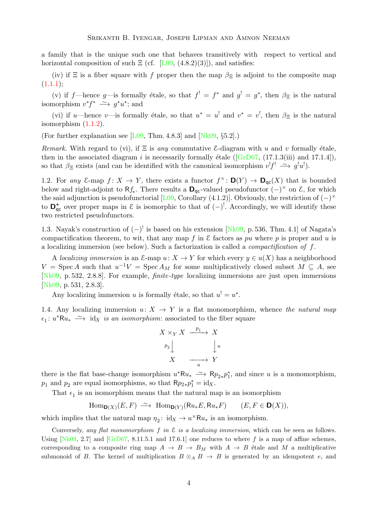<span id="page-3-3"></span>a family that is the unique such one that behaves transitively with respect to vertical and horizontal composition of such  $E$  (cf. [\[L09,](#page-28-1) (4.8.2)(3)]), and satisfies:

(iv) if  $\Xi$  is a fiber square with f proper then the map  $\beta_{\Xi}$  is adjoint to the composite map  $(1.1.1);$  $(1.1.1);$ 

(v) if f—hence g—is formally étale, so that  $f' = f^*$  and  $g' = g^*$ , then  $\beta_{\Xi}$  is the natural isomorphism  $v^*f^* \longrightarrow g^*u^*$ ; and

(vi) if u—hence v—is formally étale, so that  $u^* = u^!$  and  $v^* = v^!$ , then  $\beta_{\Xi}$  is the natural isomorphism  $(1.1.2)$ .

(For further explanation see [\[L09,](#page-28-1) Thm. 4.8.3] and  $[Nk09, §5.2]$ .)

Remark. With regard to (vi), if  $\Xi$  is any commutative  $\mathcal{E}\text{-diagram with }u$  and v formally étale, then in the associated diagram i is necessarily formally étale ( $[\text{GrD67}, (17.1.3(iii) \text{ and } 17.1.4]),$ so that  $\beta_{\Xi}$  exists (and can be identified with the canonical isomorphism  $v'f' \longrightarrow g'u'$ ).

<span id="page-3-0"></span>1.2. For any E-map  $f: X \to Y$ , there exists a functor  $f^{\times} \colon \mathbf{D}(Y) \to \mathbf{D}_{\mathsf{qc}}(X)$  that is bounded below and right-adjoint to R $f_*$ . There results a  $\mathbf{D}_{qc}$ -valued pseudofunctor  $(-)^{\times}$  on  $\mathcal{E}$ , for which the said adjunction is pseudofunctorial [\[L09,](#page-28-1) Corollary (4.1.2)]. Obviously, the restriction of  $(-)^{\times}$ to  $\mathbf{D}_{\mathsf{qc}}^+$  over proper maps in  $\mathcal E$  is isomorphic to that of  $(-)^!$ . Accordingly, we will identify these two restricted pseudofunctors.

<span id="page-3-2"></span>1.3. Nayak's construction of  $(-)^!$  is based on his extension [\[Nk09,](#page-28-2) p. 536, Thm. 4.1] of Nagata's compactification theorem, to wit, that any map f in  $\mathcal E$  factors as pu where p is proper and u is a localizing immersion (see below). Such a factorization is called a *compactification of*  $f$ .

A localizing immersion is an  $\mathcal{E}$ -map  $u: X \to Y$  for which every  $y \in u(X)$  has a neighborhood  $V = \text{Spec } A$  such that  $u^{-1}V = \text{Spec } A_M$  for some multiplicatively closed subset  $M \subseteq A$ , see [\[Nk09,](#page-28-2) p. 532, 2.8.8]. For example, finite-type localizing immersions are just open immersions [\[Nk09,](#page-28-2) p. 531, 2.8.3].

Any localizing immersion u is formally étale, so that  $u' = u^*$ .

<span id="page-3-1"></span>1.4. Any localizing immersion  $u: X \to Y$  is a flat monomorphism, whence the natural map  $\epsilon_1$ : u<sup>\*</sup>Ru<sub>\*</sub>  $\longrightarrow$  id<sub>X</sub> is an isomorphism: associated to the fiber square

$$
\begin{array}{ccc}\nX \times_Y X & \xrightarrow{p_1} & X \\
\downarrow^{p_2} & & \downarrow^{u} \\
X & \xrightarrow{u} & Y\n\end{array}
$$

there is the flat base-change isomorphism  $u^*Ru_* \longrightarrow Rp_{2*}p_1^*$ , and since u is a monomorphism,  $p_1$  and  $p_2$  are equal isomorphisms, so that  $Rp_{2*}p_1^* = id_X$ .

That  $\epsilon_1$  is an isomorphism means that the natural map is an isomorphism

$$
\operatorname{Hom}_{\mathbf{D}(X)}(E,F) \xrightarrow{\sim} \operatorname{Hom}_{\mathbf{D}(Y)}(\mathsf{R}u_*E,\mathsf{R}u_*F) \qquad (E,F \in \mathbf{D}(X)),
$$

which implies that the natural map  $\eta_2$ : id<sub>X</sub>  $\rightarrow$  u<sup>×</sup>Ru<sub>\*</sub> is an isomorphism.

Conversely, any flat monomorphism f in  $\mathcal E$  is a localizing immersion, which can be seen as follows. Using  $[Nk09, 2.7]$  and  $[GrD67, 8.11.5.1$  and 17.6.1 one reduces to where f is a map of affine schemes, corresponding to a composite ring map  $A \to B \to B_M$  with  $A \to B$  étale and M a multiplicative submonoid of B. The kernel of multiplication  $B \otimes_A B \to B$  is generated by an idempotent e, and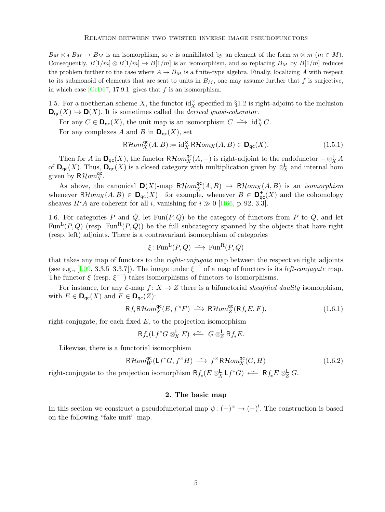<span id="page-4-4"></span> $B_M \otimes_A B_M \to B_M$  is an isomorphism, so e is annihilated by an element of the form  $m \otimes m$   $(m \in M)$ . Consequently,  $B[1/m] \otimes B[1/m] \rightarrow B[1/m]$  is an isomorphism, and so replacing  $B_M$  by  $B[1/m]$  reduces the problem further to the case where  $A \rightarrow B_M$  is a finite-type algebra. Finally, localizing A with respect to its submonoid of elements that are sent to units in  $B_M$ , one may assume further that f is surjective, in which case  $[GrD67, 17.9.1]$  gives that f is an isomorphism.

<span id="page-4-3"></span>1.5. For a noetherian scheme X, the functor  $\mathrm{id}_X^{\times}$  specified in §[1.2](#page-3-0) is right-adjoint to the inclusion  $\mathbf{D}_{\mathrm{qc}}(X) \hookrightarrow \mathbf{D}(X)$ . It is sometimes called the *derived quasi-coherator*.

For any  $C \in \mathbf{D}_{\mathsf{qc}}(X)$ , the unit map is an isomorphism  $C \longrightarrow \mathrm{id}_X^{\times} C$ .

For any complexes A and B in  $\mathbf{D}_{\text{qc}}(X)$ , set

$$
\mathsf{R}\mathcal{H}om_X^{\mathsf{qc}}(A,B) := \mathrm{id}_X^{\times} \mathsf{R}\mathcal{H}om_X(A,B) \in \mathbf{D}_{\mathsf{qc}}(X). \tag{1.5.1}
$$

Then for A in  $\mathbf{D}_{\mathsf{qc}}(X)$ , the functor  $\mathsf{R}\mathcal{H}om_X^{\mathsf{qc}}(A,-)$  is right-adjoint to the endofunctor  $-\otimes^{\mathsf{L}}_X A$ of  $\mathbf{D}_{\mathsf{qc}}(X)$ . Thus,  $\mathbf{D}_{\mathsf{qc}}(X)$  is a closed category with multiplication given by  $\otimes_X^{\mathsf{L}}$  and internal hom given by  $R\mathcal{H}om_X^{\text{qc}}$ .

As above, the canonical  $\mathbf{D}(X)$ -map  $R\mathcal{H}om_X^{\mathsf{qc}}(A, B) \to R\mathcal{H}om_X(A, B)$  is an *isomorphism* whenever  $R\mathcal{H}om_X(A, B) \in \mathbf{D}_{\mathsf{qc}}(X)$ —for example, whenever  $B \in \mathbf{D}_{\mathsf{qc}}^+(X)$  and the cohomology sheaves  $H^iA$  are coherent for all i, vanishing for  $i \gg 0$  [\[H66,](#page-28-4) p. 92, 3.3].

1.6. For categories P and Q, let  $Fun(P,Q)$  be the category of functors from P to Q, and let  $Fun<sup>L</sup>(P,Q)$  (resp. Fun<sup>R</sup> $(P,Q)$ ) be the full subcategory spanned by the objects that have right (resp. left) adjoints. There is a contravariant isomorphism of categories

$$
\xi \colon \text{Fun}^{\mathcal{L}}(P,Q) \xrightarrow{\sim} \text{Fun}^{\mathcal{R}}(P,Q)
$$

that takes any map of functors to the right-conjugate map between the respective right adjoints (see e.g., [\[L09,](#page-28-1) 3.3.5–3.3.7]). The image under  $\xi^{-1}$  of a map of functors is its *left-conjugate* map. The functor  $\xi$  (resp.  $\xi^{-1}$ ) takes isomorphisms of functors to isomorphisms.

For instance, for any  $\mathcal{E}$ -map  $f: X \to Z$  there is a bifunctorial sheafified duality isomorphism, with  $E \in \mathbf{D}_{\mathrm{qc}}(X)$  and  $F \in \mathbf{D}_{\mathrm{qc}}(Z)$ :

<span id="page-4-1"></span>
$$
Rf_*\mathsf{R}\mathcal{H}om_X^{\mathsf{qc}}(E, f^{\times}F) \xrightarrow{\sim} \mathsf{R}\mathcal{H}om_Z^{\mathsf{qc}}(\mathsf{R}f_*E, F),\tag{1.6.1}
$$

right-conjugate, for each fixed  $E$ , to the projection isomorphism

$$
Rf_*(Lf^*G \otimes^{\mathbf{L}}_X E) \stackrel{\sim}{\longleftarrow} G \otimes^{\mathbf{L}}_Z Rf_*E.
$$

Likewise, there is a functorial isomorphism

<span id="page-4-2"></span>
$$
\mathsf{R}\mathcal{H}\mathit{om}_{W}^{\mathsf{qc}}(\mathsf{L}f^*G, f^{\times}H) \xrightarrow{\sim} f^{\times}\mathsf{R}\mathcal{H}\mathit{om}_{X}^{\mathsf{qc}}(G,H) \tag{1.6.2}
$$

right-conjugate to the projection isomorphism  $Rf_*(E \otimes_X^{\mathsf{L}} \mathsf{L}f^*G) \leftarrow Rf_*E \otimes_Z^{\mathsf{L}} G$ .

## 2. The basic map

<span id="page-4-0"></span>In this section we construct a pseudofunctorial map  $\psi: (-)^{\times} \to (-)^{!}$ . The construction is based on the following "fake unit" map.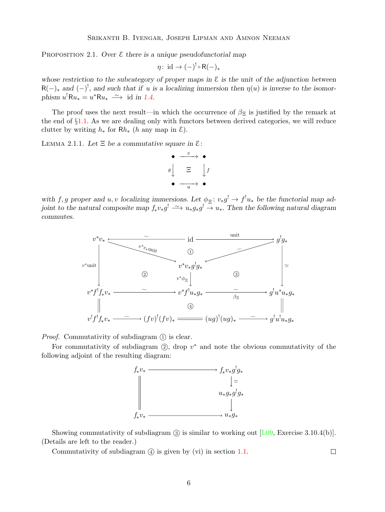<span id="page-5-2"></span><span id="page-5-0"></span>PROPOSITION 2.1. Over  $\epsilon$  there is a unique pseudofunctorial map

$$
\eta\colon\operatorname{id}\to (-)^!\circ\mathsf{R}(-)_*
$$

whose restriction to the subcategory of proper maps in  $\mathcal E$  is the unit of the adjunction between  $R(-)_*$  and  $(-)^!$ , and such that if u is a localizing immersion then  $\eta(u)$  is inverse to the isomorphism  $u^{\dagger} \mathsf{R} u_* = u^* \mathsf{R} u_* \stackrel{\sim}{\longrightarrow}$  id in [1.4.](#page-3-1)

The proof uses the next result—in which the occurrence of  $\beta_{\Xi}$  is justified by the remark at the end of §[1.1.](#page-2-0) As we are dealing only with functors between derived categories, we will reduce clutter by writing  $h_*$  for  $Rh_*$  (h any map in  $\mathcal{E}$ ).

<span id="page-5-1"></span>LEMMA 2.1.1. Let  $\Xi$  be a commutative square in  $\mathcal{E}$ :



with f, g proper and u, v localizing immersions. Let  $\phi_{\Xi}: v_*g' \to f' u_*$  be the functorial map adjoint to the natural composite map  $f_* v_* g^! \longrightarrow u_* g_* g^! \longrightarrow u_*$ . Then the following natural diagram commutes.



*Proof.* Commutativity of subdiagram  $(1)$  is clear.

For commutativity of subdiagram  $(2)$ , drop  $v^*$  and note the obvious commutativity of the following adjoint of the resulting diagram:



Showing commutativity of subdiagram  $(3)$  is similar to working out [\[L09,](#page-28-1) Exercise 3.10.4(b)]. (Details are left to the reader.)

Commutativity of subdiagram  $\ddot{q}$  is given by (vi) in section [1.1.](#page-2-0)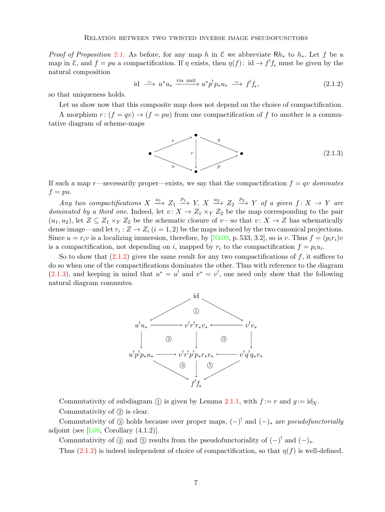<span id="page-6-2"></span>*Proof of Proposition [2.1.](#page-5-0)* As before, for any map h in  $\mathcal E$  we abbreviate Rh<sub>∗</sub> to h<sub>∗</sub>. Let f be a map in  $\mathcal{E}$ , and  $f = pu$  a compactification. If  $\eta$  exists, then  $\eta(f)$ : id  $\rightarrow f'_{*}$  must be given by the natural composition

<span id="page-6-0"></span>
$$
\text{id} \stackrel{\sim}{\longrightarrow} u^* u_* \xrightarrow{\text{via unit}} u^* p^! p_* u_* \stackrel{\sim}{\longrightarrow} f^! f_*, \tag{2.1.2}
$$

so that uniqueness holds.

Let us show now that this composite map does not depend on the choice of compactification.

A morphism  $r: (f = qv) \rightarrow (f = pu)$  from one compactification of f to another is a commutative diagram of scheme-maps

<span id="page-6-1"></span>

If such a map r—necessarily proper—exists, we say that the compactification  $f = qv$  dominates  $f = pu.$ 

Any two compactifications  $X \xrightarrow{u_1} Z_1 \xrightarrow{p_1} Y$ ,  $X \xrightarrow{u_2} Z_2 \xrightarrow{p_2} Y$  of a given  $f: X \to Y$  are dominated by a third one. Indeed, let  $v: X \to Z_1 \times_Y Z_2$  be the map corresponding to the pair  $(u_1, u_2)$ , let  $Z \subseteq Z_1 \times_Y Z_2$  be the schematic closure of v—so that  $v \colon X \to Z$  has schematically dense image—and let  $r_i: Z \to Z_i$   $(i = 1, 2)$  be the maps induced by the two canonical projections. Since  $u = r_i v$  is a localizing immersion, therefore, by [\[Nk09,](#page-28-2) p. 533, 3.2], so is v. Thus  $f = (p_i r_i)v$ is a compactification, not depending on i, mapped by  $r_i$  to the compactification  $f = p_i u_i$ .

So to show that  $(2.1.2)$  gives the same result for any two compactifications of f, it suffices to do so when one of the compactifications dominates the other. Thus with reference to the diagram  $(2.1.3)$ , and keeping in mind that  $u^* = u^!$  and  $v^* = v^!,$  one need only show that the following natural diagram commutes.



Commutativity of subdiagram (1) is given by Lemma [2.1.1,](#page-5-1) with  $f := r$  and  $q := id_X$ . Commutativity of  $(2)$  is clear.

Commutativity of  $\circled{3}$  holds because over proper maps,  $(-)^{!}$  and  $(-)_*$  are *pseudofunctorially* adjoint (see  $[L09, Corollary (4.1.2)].$ 

Commutativity of  $\textcircled{4}$  and  $\textcircled{5}$  results from the pseudofunctoriality of  $(-)^!$  and  $(-)_*.$ 

Thus [\(2.1.2\)](#page-6-0) is indeed independent of choice of compactification, so that  $\eta(f)$  is well-defined.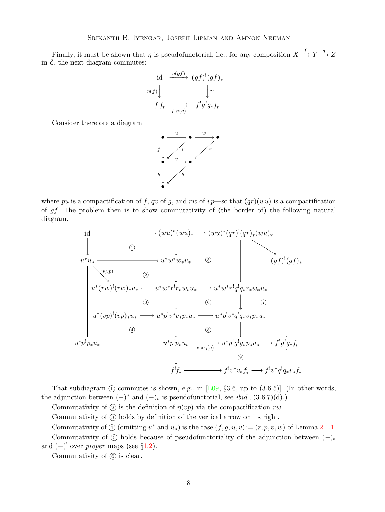<span id="page-7-0"></span>Finally, it must be shown that  $\eta$  is pseudofunctorial, i.e., for any composition  $X \xrightarrow{f} Y \xrightarrow{g} Z$ in  $\mathcal{E}$ , the next diagram commutes:

id 
$$
\xrightarrow{\eta(gf)} (gf)^!(gf)_*
$$
  
\n
$$
\eta(f) \downarrow \qquad \qquad \downarrow \simeq
$$
\n
$$
f^! f_* \xrightarrow{f^! \eta(g)} f^! g^! g_* f_*
$$

Consider therefore a diagram



where pu is a compactification of f, qv of g, and rw of vp—so that  $(qr)(wu)$  is a compactification of gf. The problem then is to show commutativity of (the border of) the following natural diagram.

id  
\n
$$
u^* u_* \longrightarrow (wu)^*(wu)_* \longrightarrow (wu)^*(qr)^!(qr)_*(wu)_*
$$
\n*u^\* u\_\* \longrightarrow u^\* w^\* w\_\* u\_\* \circled{S}*\n*u^\*(rw)^!(rw)\_\* u\_\* \longleftarrow u^\* w^\* r^! r\_\* w\_\* u\_\* \longrightarrow u^\* w^\* r^! q^! q\_\* r\_\* w\_\* u\_\*\n*u^\*(rw)^!(rw)\_\* u\_\* \longrightarrow u^\* w^\* r^! r\_\* w\_\* u\_\* \longrightarrow u^\* p^! v^\* q^! q\_\* v\_\* p\_\* u\_\**\n*u^\* p^! p\_\* u\_\* \longrightarrow u^\* p^! p\_\* u\_\* \longrightarrow u^\* p^! p^! q^! q\_\* v\_\* p\_\* u\_\* \longrightarrow f^! g^! g\_\* f\_\**\n*u^\* p^! p\_\* u\_\* \longrightarrow u^\* p^! g^! g\_\* p\_\* u\_\* \longrightarrow f^! g^! g\_\* f\_\**\n*u^\* p^! p\_\* u\_\* \longrightarrow f^! v^\* q^! q\_\* v\_\* f\_\**\n*u^\* p^! q\_\* v\_\* f\_\**\n*u^\* p^! q\_\* v\_\* f\_\**\n*u^\* p^! q\_\* v\_\* f\_\**\n*u^\* q^! q\_\* v\_\* f\_\**\n*u^\* q^! q\_\* v\_\* f\_\**\n*u^\* q^! q\_\* v\_\* f\_\**\n*u^\* q^! q\_\* v\_\* f\_\**\n*u^\* q^! q\_\* v\_\* f\_\**\n*u^\* q^! q\_\* v\_\* f\_\**\n*u^\* q^! q\_\* v\_\* f\_\**\n*u^\* q^! q\_\* v\_\* f\_\**\n*u^\* q^! q\_\* v\_\* f\_\**\n*u^\* q^! q\_\* v\_\* f\_\**\n*u^\* q^! q\_\* v\_\* f\_\**\n*u^\* q^! q\_\* v\_\* f\_\**\n*u^\* q^! q\_\* v\_\* f\_\**\n*u^\* q^! q\_\* v\_\* f\_\**\n*u^\* q^! q\_\* v\_\* f\_\**\n*u^\* q^! q\_\* v\_\* f\_\**\n*u^\* q^! q\_\* v\_\* f\_\**\n*u^\* q^! q\_\* v\_\* f\_\**\n*u^\* q^! q\_\* v\_\* f\_\**\n*u^\* q^! q\_\* v\_\* f\_\**\n*u^\* q^! q\_\* v\_\* f\_\**\n*u^\* q^! q**

That subdiagram  $(1)$  commutes is shown, e.g., in [\[L09,](#page-28-1) §3.6, up to  $(3.6.5)$ ]. (In other words, the adjunction between  $(-)^*$  and  $(-)_*$  is pseudofunctorial, see *ibid.*,  $(3.6.7)(d)$ .)

Commutativity of  $(2)$  is the definition of  $\eta(vp)$  via the compactification rw.

Commutativity of 3 holds by definition of the vertical arrow on its right.

Commutativity of  $\textcircled{4}$  (omitting  $u^*$  and  $u_*$ ) is the case  $(f, g, u, v) := (r, p, v, w)$  of Lemma [2.1.1.](#page-5-1)

Commutativity of  $(\overline{5})$  holds because of pseudofunctoriality of the adjunction between  $(-)_*$ and  $(-)$ <sup>!</sup> over *proper* maps (see §[1.2\)](#page-3-0).

Commutativity of  $(6)$  is clear.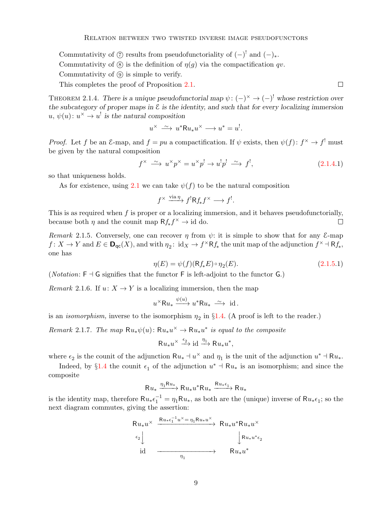Commutativity of  $\circled{7}$  results from pseudofunctoriality of  $(-)^{!}$  and  $(-)_{*}$ .

Commutativity of  $\mathcal{B}$  is the definition of  $\eta(q)$  via the compactification qv.

Commutativity of  $\circled{9}$  is simple to verify.

This completes the proof of Proposition [2.1.](#page-5-0)

<span id="page-8-0"></span>THEOREM 2.1.4. There is a unique pseudofunctorial map  $\psi: (-)^{\times} \to (-)^{!}$  whose restriction over the subcategory of proper maps in  $\mathcal E$  is the identity, and such that for every localizing immersion  $u, \psi(u): u^{\times} \to u^!$  is the natural composition

$$
u^{\times} \xrightarrow{\sim} u^* \mathsf{R} u_* u^{\times} \longrightarrow u^* = u^!.
$$

*Proof.* Let f be an E-map, and  $f = pu$  a compactification. If  $\psi$  exists, then  $\psi(f) : f^{\times} \to f^{\perp}$  must be given by the natural composition

$$
f^{\times} \xrightarrow{\sim} u^{\times} p^{\times} = u^{\times} p^{!} \to u^{!} p^{!} \xrightarrow{\sim} f^{!}, \qquad (2.1.4.1)
$$

so that uniqueness holds.

As for existence, using [2.1](#page-5-0) we can take  $\psi(f)$  to be the natural composition

<span id="page-8-2"></span>
$$
f^{\times} \xrightarrow{\text{via } \eta} f^! R f_* f^{\times} \longrightarrow f^!.
$$

This is as required when  $f$  is proper or a localizing immersion, and it behaves pseudofunctorially, because both  $\eta$  and the counit map  $Rf_* f^{\times} \to id$  do.  $\Box$ 

<span id="page-8-1"></span>Remark 2.1.5. Conversely, one can recover  $\eta$  from  $\psi$ : it is simple to show that for any E-map  $f: X \to Y$  and  $E \in \mathbf{D}_{\mathsf{qc}}(X)$ , and with  $\eta_2: \text{id}_X \to f^\times \mathsf{R} f_*$  the unit map of the adjunction  $f^\times \dashv \mathsf{R} f_*$ , one has

<span id="page-8-4"></span>
$$
\eta(E) = \psi(f)(Rf_*E) \circ \eta_2(E). \tag{2.1.5.1}
$$

(*Notation*:  $F \dashv G$  signifies that the functor F is left-adjoint to the functor G.)

Remark 2.1.6. If  $u: X \to Y$  is a localizing immersion, then the map

$$
u^{\times} \mathsf{R} u_* \xrightarrow{\psi(u)} u^* \mathsf{R} u_* \xrightarrow{\sim} \text{ id}.
$$

is an *isomorphism*, inverse to the isomorphism  $\eta_2$  in §[1.4.](#page-3-1) (A proof is left to the reader.)

<span id="page-8-3"></span>Remark 2.1.7. The map  $Ru_*\psi(u)$ :  $Ru_*u^* \to Ru_*u^*$  is equal to the composite

$$
\mathsf{R}u_*u^\times \xrightarrow{\epsilon_2} \mathrm{id} \xrightarrow{\eta_1} \mathsf{R}u_*u^*,
$$

where  $\epsilon_2$  is the counit of the adjunction  $Ru_* \dashv u^\times$  and  $\eta_1$  is the unit of the adjunction  $u^* \dashv Ru_*$ .

Indeed, by §[1.4](#page-3-1) the counit  $\epsilon_1$  of the adjunction  $u^*$  +  $\mathsf{R}u_*$  is an isomorphism; and since the composite

$$
\mathsf{R}u_* \xrightarrow{\eta_1 \mathsf{R}u_*} \mathsf{R}u_* u^* \mathsf{R}u_* \xrightarrow{\mathsf{R}u_* \epsilon_1} \mathsf{R}u_*
$$

is the identity map, therefore  $Ru_*\epsilon_1^{-1} = \eta_1 Ru_*$ , as both are the (unique) inverse of  $Ru_*\epsilon_1$ ; so the next diagram commutes, giving the assertion:

$$
\begin{array}{ccc}\n\mathsf{R}u_{*}u^{\times} & \xrightarrow{\mathsf{R}u_{*}\epsilon_{1}^{-1}u^{\times}=\eta_{1}\mathsf{R}u_{*}u^{\times}} \\
\downarrow^{\epsilon_{2}} & & \downarrow^{\mathsf{R}u_{*}u^{*}\epsilon_{2}} \\
\downarrow^{\epsilon_{3}} & & \downarrow^{\mathsf{R}u_{*}u^{*}\epsilon_{2}} \\
\downarrow^{\epsilon_{4}} & & & \downarrow^{\epsilon_{5}} \\
\downarrow^{\epsilon_{6}} & & & \downarrow^{\epsilon_{7}} \\
\downarrow^{\epsilon_{8}} & & & \downarrow^{\epsilon_{8}} \\
\downarrow^{\epsilon_{9}} & & & \downarrow^{\epsilon_{9}} \\
\downarrow^{\epsilon_{1}} & & & \downarrow^{\epsilon_{1}} \\
\downarrow^{\epsilon_{1}} & & & \downarrow^{\epsilon_{1}} \\
\downarrow^{\epsilon_{2}} & & & \downarrow^{\epsilon_{1}} \\
\downarrow^{\epsilon_{1}} & & & \downarrow^{\epsilon_{2}} \\
\downarrow^{\epsilon_{1}} & & & & \downarrow^{\epsilon_{1}} \\
\downarrow^{\epsilon_{2}} & & & & \downarrow^{\epsilon_{2}} \\
\downarrow^{\epsilon_{3}} & & & & \downarrow^{\epsilon_{3}} \\
\downarrow^{\epsilon_{4}} & & & & \downarrow^{\epsilon_{5}} \\
\downarrow^{\epsilon_{5}} & & & & \downarrow^{\epsilon_{6}} \\
\downarrow^{\epsilon_{6}} & & & & \downarrow^{\epsilon_{7}} \\
\downarrow^{\epsilon_{7}} & & & & \downarrow^{\epsilon_{8}} \\
\downarrow^{\epsilon_{8}} & & & & \downarrow^{\epsilon_{1}} \\
\downarrow^{\epsilon_{9}} & & & & \downarrow^{\epsilon_{1}} \\
\downarrow^{\epsilon_{1}} & & & & \downarrow^{\epsilon_{1}} \\
\downarrow^{\epsilon_{1}} & & & & \downarrow^{\epsilon_{1}} \\
\downarrow^{\epsilon_{1}} & & & & \downarrow^{\epsilon_{1}} \\
\downarrow^{\epsilon_{2}} & & & & \downarrow^{\epsilon_{1}} \\
\downarrow^{\epsilon_{1}} & & & & \downarrow^{\epsilon_{1}} \\
\downarrow^{\epsilon_{2}} & & & & \downarrow^{\epsilon_{2}} \\
\downarrow^{\epsilon_{3}} & & & & \downarrow^{\epsilon_{3}} \\
\downarrow^{\epsilon_{4}} & & & & \downarrow^{\epsilon_{5}} \\
\downarrow^{\epsilon_{5}} & & & & \downarrow^{\epsilon_{6}} \\
\downarrow^{\epsilon_{6}} & & & & \downarrow^{\epsilon_{1}} \\
\downarrow^{\epsilon_{1}} &
$$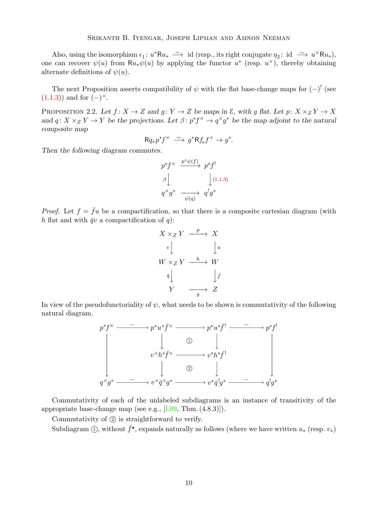<span id="page-9-1"></span>Also, using the isomorphism  $\epsilon_1: u^* \mathsf{R} u_* \longrightarrow \text{ id } (\text{resp., its right conjugate } \eta_2: \text{ id } \longrightarrow u^* \mathsf{R} u_*),$ one can recover  $\psi(u)$  from  $Ru_*\psi(u)$  by applying the functor  $u^*$  (resp.  $u^*$ ), thereby obtaining alternate definitions of  $\psi(u)$ .

The next Proposition asserts compatibility of  $\psi$  with the flat base-change maps for  $(-)^{!}$  (see  $(1.1.3)$  and for  $(-)^{\times}$ .

<span id="page-9-0"></span>PROPOSITION 2.2. Let  $f: X \to Z$  and  $g: Y \to Z$  be maps in  $\mathcal{E}$ , with g flat. Let  $p: X \times_Z Y \to X$ and  $q: X \times_Z Y \to Y$  be the projections. Let  $\beta: p^* f^* \to q^* g^*$  be the map adjoint to the natural composite map

$$
\mathsf{R} q_*p^*f^\times \xrightarrow{\sim} g^*\mathsf{R} f_*f^\times \to g^*.
$$

Then the following diagram commutes.

$$
p^* f^{\times} \xrightarrow{p^* \psi(f)} p^* f^!
$$
  

$$
\beta \downarrow \qquad \qquad \downarrow (1.1.3)
$$
  

$$
q^{\times} g^* \xrightarrow{\psi(q)} q^! g^*
$$

*Proof.* Let  $f = \bar{f}u$  be a compactification, so that there is a composite cartesian diagram (with h flat and with  $\bar{q}v$  a compactification of q):

$$
X \times_Z Y \xrightarrow{p} X
$$
  
\n
$$
v \downarrow \qquad \qquad \downarrow u
$$
  
\n
$$
W \times_Z Y \xrightarrow{h} W
$$
  
\n
$$
\bar{q} \downarrow \qquad \qquad \downarrow \bar{f}
$$
  
\n
$$
Y \xrightarrow{g} Z
$$

In view of the pseudofunctoriality of  $\psi$ , what needs to be shown is commutativity of the following natural diagram.



Commutativity of each of the unlabeled subdiagrams is an instance of transitivity of the appropriate base-change map (see e.g.,  $[L09, Thm. (4.8.3)]$ ).

Commutativity of  $(2)$  is straightforward to verify.

Subdiagram ①, without  $\bar{f}^{\bullet}$ , expands naturally as follows (where we have written  $u_*$  (resp.  $v_*$ )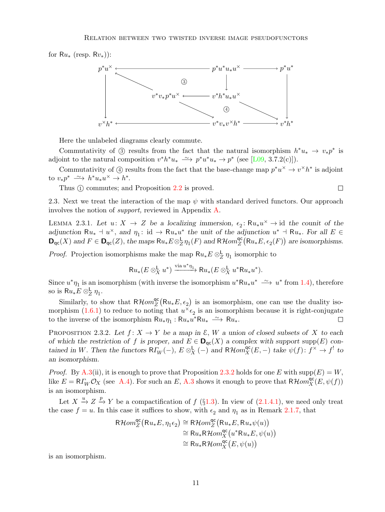<span id="page-10-3"></span>for  $Ru_*$  (resp.  $Rv_*)$ ):



Here the unlabeled diagrams clearly commute.

Commutativity of ① results from the fact that the natural isomorphism  $h^*u_* \to v_*p^*$  is adjoint to the natural composition  $v^*h^*u_* \longrightarrow p^*u^*u_* \longrightarrow p^*$  (see [\[L09,](#page-28-1) 3.7.2(c)]).

Commutativity of ① results from the fact that the base-change map  $p^*u^* \to v^*h^*$  is adjoint to  $v_*p^* \longrightarrow h^*u_*u^* \longrightarrow h^*$ .

Thus  $(1)$  commutes; and Proposition [2.2](#page-9-0) is proved.

<span id="page-10-2"></span>2.3. Next we treat the interaction of the map  $\psi$  with standard derived functors. Our approach involves the notion of support, reviewed in Appendix [A.](#page-24-0)

 $\Box$ 

<span id="page-10-1"></span>LEMMA 2.3.1. Let  $u: X \to Z$  be a localizing immersion,  $\epsilon_2: Ru_*u^{\times} \to id$  the counit of the adjunction  $Ru_* + u^{\times}$ , and  $\eta_1: id \to Ru_*u^*$  the unit of the adjunction  $u^* + Ru_*$ . For all  $E \in$  $\mathbf{D}_{\mathsf{qc}}(X)$  and  $F \in \mathbf{D}_{\mathsf{qc}}(Z)$ , the maps  $\mathsf{R}u_*E \otimes_Z^{\mathsf{L}} \eta_1(F)$  and  $\mathsf{R}\mathcal{H}om_Z^{\mathsf{qc}}$  $C_Z^{\mathsf{qc}}(\mathsf{R} u_*E,\epsilon_2(F))$  are isomorphisms.

*Proof.* Projection isomorphisms make the map  $Ru_*E \otimes_Z^{\mathsf{L}} \eta_1$  isomorphic to

$$
\mathsf{R} u_*(E \otimes_X^{\mathsf{L}} u^*) \xrightarrow{\text{via } u^*\eta_1} \mathsf{R} u_*(E \otimes_X^{\mathsf{L}} u^*\mathsf{R} u_* u^*).
$$

Since  $u^*\eta_1$  is an isomorphism (with inverse the isomorphism  $u^*Ru_*u^* \longrightarrow u^*$  from [1.4\)](#page-3-1), therefore so is  $Ru_*E \otimes_Z^{\mathsf{L}} \eta_1$ .

Similarly, to show that  $R\mathcal{H}om_{Z}^{\text{qc}}$  $Z_Z^{\text{qc}}(\mathsf{R}u_*E,\epsilon_2)$  is an isomorphism, one can use the duality iso-morphism [\(1.6.1\)](#page-4-1) to reduce to noting that  $u^{\times} \epsilon_2$  is an isomorphism because it is right-conjugate to the inverse of the isomorphism  $Ru_*\eta_1 : Ru_*u^*Ru_* \longrightarrow Ru_*$ .  $\Box$ 

<span id="page-10-0"></span>PROPOSITION 2.3.2. Let  $f: X \to Y$  be a map in  $\mathcal{E}, W$  a union of closed subsets of X to each of which the restriction of f is proper, and  $E \in \mathbf{D}_{\text{qc}}(X)$  a complex with support supp $(E)$  contained in W. Then the functors  $R\Gamma_W(-)$ ,  $E \otimes_X^{\mathsf{L}} (-)$  and  $R\mathcal{H}om_X^{\mathsf{qc}}(E,-)$  take  $\psi(f): f^{\times} \to f^!$  to an isomorphism.

*Proof.* By [A.3\(](#page-26-0)ii), it is enough to prove that Proposition [2.3.2](#page-10-0) holds for one E with  $\text{supp}(E) = W$ , like  $E = R\Gamma_W \mathcal{O}_X$  (see [A.4\)](#page-27-0). For such an E, [A.3](#page-26-0) shows it enough to prove that  $R\mathcal{H}om_X^{\mathsf{qc}}(E, \psi(f))$ is an isomorphism.

Let  $X \xrightarrow{u} Z \xrightarrow{p} Y$  be a compactification of  $f (\S 1.3)$  $f (\S 1.3)$ . In view of  $(2.1.4.1)$ , we need only treat the case  $f = u$ . In this case it suffices to show, with  $\epsilon_2$  and  $\eta_1$  as in Remark [2.1.7,](#page-8-3) that

$$
\mathsf{R}\mathcal{H}om_{Z}^{\mathsf{qc}}(\mathsf{R}u_{*}E, \eta_{1}\epsilon_{2}) \cong \mathsf{R}\mathcal{H}om_{Z}^{\mathsf{qc}}(\mathsf{R}u_{*}E, \mathsf{R}u_{*}\psi(u))
$$
  
\n
$$
\cong \mathsf{R}u_{*}\mathsf{R}\mathcal{H}om_{X}^{\mathsf{qc}}(u^{*}\mathsf{R}u_{*}E, \psi(u))
$$
  
\n
$$
\cong \mathsf{R}u_{*}\mathsf{R}\mathcal{H}om_{X}^{\mathsf{qc}}(E, \psi(u))
$$

is an isomorphism.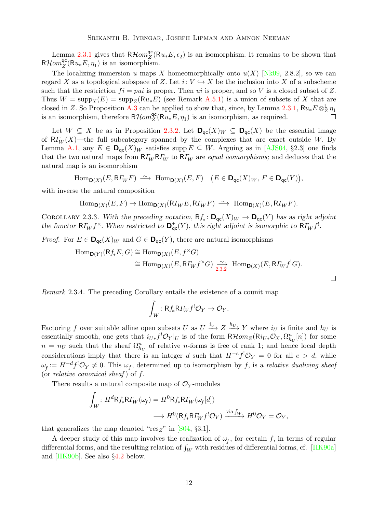<span id="page-11-2"></span>Lemma [2.3.1](#page-10-1) gives that  $R\mathcal{H}om_{Z}^{\text{qc}}$  $Z(Z(Ru_*E,\epsilon_2))$  is an isomorphism. It remains to be shown that  $R\mathcal{H}om_Z^{\mathsf{qc}}$  $Z(Z(Ru_*E, \eta_1)$  is an isomorphism.

The localizing immersion u maps X homeomorphically onto  $u(X)$  [\[Nk09,](#page-28-2) 2.8.2], so we can regard X as a topological subspace of Z. Let  $i: V \hookrightarrow X$  be the inclusion into X of a subscheme such that the restriction  $fi = pui$  is proper. Then ui is proper, and so V is a closed subset of Z. Thus  $W = \text{supp}_X(E) = \text{supp}_Z(\mathsf{R}u_*E)$  (see Remark [A.5.1\)](#page-27-1) is a union of subsets of X that are closed in Z. So Proposition [A.3](#page-26-0) can be applied to show that, since, by Lemma [2.3.1,](#page-10-1)  $Ru_*E \otimes_Z^{\mathsf{L}} \eta_1$ is an isomorphism, therefore  $R\mathcal{H}om_Z^{\text{qc}}$  $Z(Z(Ru_*E, \eta_1))$  is an isomorphism, as required.  $\Box$ 

Let  $W \subseteq X$  be as in Proposition [2.3.2.](#page-10-0) Let  $\mathbf{D}_{\text{qc}}(X)_W \subseteq \mathbf{D}_{\text{qc}}(X)$  be the essential image of  $R_{W}^{T}(X)$ —the full subcategory spanned by the complexes that are exact outside W. By Lemma [A.1,](#page-25-0) any  $E \in \mathbf{D}_{\mathsf{qc}}(X)_W$  satisfies supp  $E \subseteq W$ . Arguing as in [\[AJS04,](#page-28-5) §2.3] one finds that the two natural maps from  $R_{W}R_{W}$  to  $R_{W}$  are *equal isomorphisms*; and deduces that the natural map is an isomorphism

$$
\operatorname{Hom}\nolimits_{{\mathbf D}(X)}(E,\mathsf{R}\varGamma_W F) \ \stackrel{\sim}{\longrightarrow}\ \operatorname{Hom}\nolimits_{{\mathbf D}(X)}(E,F) \quad \bigl(E\in {\mathbf D}_{{\mathsf q}{\mathsf c}}(X)_W, \ F\in {\mathbf D}_{{\mathsf q}{\mathsf c}}(Y)\bigr),
$$

with inverse the natural composition

$$
\text{Hom}_{\text{D}(X)}(E,F) \to \text{Hom}_{\text{D}(X)}(\text{R}\Gamma_W E, \text{R}\Gamma_W F) \stackrel{\sim}{\longrightarrow} \text{Hom}_{\text{D}(X)}(E, \text{R}\Gamma_W F).
$$

<span id="page-11-0"></span>COROLLARY 2.3.3. With the preceding notation,  $Rf_*: \mathbf{D}_{\text{qc}}(X)_W \to \mathbf{D}_{\text{qc}}(Y)$  has as right adjoint the functor  $R\Gamma_W f^{\times}$ . When restricted to  $\mathbf{D}_{\mathsf{qc}}^+(Y)$ , this right adjoint is isomorphic to  $R\Gamma_W f^!$ .

*Proof.* For  $E \in \mathbf{D}_{\text{qc}}(X)_W$  and  $G \in \mathbf{D}_{\text{qc}}(Y)$ , there are natural isomorphisms

$$
\begin{aligned} \mathrm{Hom}_{\mathbf{D}(Y)}(\mathrm{R}f_*E,G)&\cong \mathrm{Hom}_{\mathbf{D}(X)}(E,f^\times G)\\ &\cong \mathrm{Hom}_{\mathbf{D}(X)}(E,\mathrm{R}f_Wf^\times G)\underset{2.3.2}{\xrightarrow{\sim}}\ \mathrm{Hom}_{\mathbf{D}(X)}(E,\mathrm{R}f_Wf^!G).\end{aligned}
$$

<span id="page-11-1"></span>Remark 2.3.4. The preceding Corollary entails the existence of a counit map

$$
\bar{\int}_W \colon \mathsf{R} f_* \mathsf{R} \varGamma_W f^! \mathcal{O}_Y \to \mathcal{O}_Y.
$$

Factoring f over suitable affine open subsets U as  $U \stackrel{i_U}{\longrightarrow} Z \stackrel{h_U}{\longrightarrow} Y$  where  $i_U$  is finite and  $h_U$  is essentially smooth, one gets that  $i_{U*} f^! \mathcal{O}_Y|_U$  is of the form  $R\mathcal{H}om_Z(Ri_{U*}\mathcal{O}_X, \Omega^n_{h_U}[n])$  for some  $n = n_U$  such that the sheaf  $\Omega_{h_U}^n$  of relative *n*-forms is free of rank 1; and hence local depth considerations imply that there is an integer d such that  $H^{-e}f^{\dagger}\mathcal{O}_Y = 0$  for all  $e > d$ , while  $\omega_f := H^{-d} f^! \mathcal{O}_Y \neq 0$ . This  $\omega_f$ , determined up to isomorphism by f, is a relative dualizing sheaf (or relative canonical sheaf) of  $f$ .

There results a natural composite map of  $\mathcal{O}_Y$ -modules

$$
\int_W : H^d \mathsf{R} f_* \mathsf{R} \Gamma_W(\omega_f) = H^0 \mathsf{R} f_* \mathsf{R} \Gamma_W(\omega_f[d])
$$
  

$$
\longrightarrow H^0(\mathsf{R} f_* \mathsf{R} \Gamma_W f^! \mathcal{O}_Y) \xrightarrow{\text{via } \bar{f}_W} H^0 \mathcal{O}_Y = \mathcal{O}_Y,
$$

that generalizes the map denoted " $res_{Z}$ " in [\[S04,](#page-29-0) §3.1].

A deeper study of this map involves the realization of  $\omega_f$ , for certain f, in terms of regular differential forms, and the resulting relation of  $\int_W$  with residues of differential forms, cf. [\[HK90a\]](#page-28-6) and [\[HK90b\]](#page-28-7). See also §[4.2](#page-22-1) below.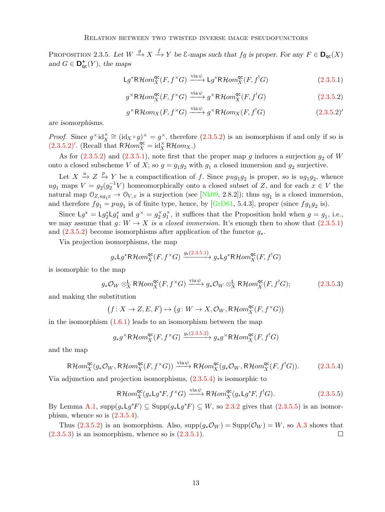<span id="page-12-7"></span><span id="page-12-0"></span>PROPOSITION 2.3.5. Let  $W \stackrel{g}{\longrightarrow} X \stackrel{f}{\longrightarrow} Y$  be  $\mathcal{E}\text{-maps such that } fg$  is proper. For any  $F \in \mathbf{D}_{\mathsf{qc}}(X)$ and  $G \in \mathbf{D}_{\mathrm{qc}}^+(Y)$ , the maps

$$
Lg^*R\mathcal{H}om_X^{\mathsf{qc}}(F, f^{\times}G) \xrightarrow{\text{via }\psi} Lg^*R\mathcal{H}om_X^{\mathsf{qc}}(F, f^!G) \tag{2.3.5.1}
$$

<span id="page-12-3"></span><span id="page-12-1"></span>
$$
g^{\times} \mathsf{R}\mathcal{H}om_{X}^{\mathsf{qc}}(F, f^{\times}G) \xrightarrow{\text{via }\psi} g^{\times} \mathsf{R}\mathcal{H}om_{X}^{\mathsf{qc}}(F, f^!G) \tag{2.3.5.2}
$$

<span id="page-12-2"></span>
$$
g^{\times}R\mathcal{H}om_X(F, f^{\times}G) \xrightarrow{\text{via }\psi} g^{\times}R\mathcal{H}om_X(F, f^!G) \tag{2.3.5.2}'
$$

are isomorphisms.

*Proof.* Since  $g^{\times}$  id $\chi^{\times} \cong (id_X \circ g)^{\times} = g^{\times}$ , therefore  $(2.3.5.2)$  is an isomorphism if and only if so is  $(2.3.5.2)'$  $(2.3.5.2)'$ . (Recall that  $R\mathcal{H}om_X^{\mathsf{qc}} = \mathrm{id}_X^{\times} R\mathcal{H}om_X$ .)

As for  $(2.3.5.2)$  and  $(2.3.5.1)$ , note first that the proper map g induces a surjection  $g_2$  of W onto a closed subscheme V of X; so  $g = g_1 g_2$  with  $g_1$  a closed immersion and  $g_2$  surjective.

Let  $X \xrightarrow{u} Z \xrightarrow{p} Y$  be a compactification of f. Since  $pug_1g_2$  is proper, so is  $ug_1g_2$ , whence ug<sub>1</sub> maps  $V = g_2(g_2^{-1}V)$  homeomorphically onto a closed subset of Z, and for each  $x \in V$  the natural map  $\mathcal{O}_{Z,ug_1x} \to \mathcal{O}_{V,x}$  is a surjection (see [\[Nk09,](#page-28-2) 2.8.2]); thus  $ug_1$  is a closed immersion, and therefore  $fg_1 = pug_1$  is of finite type, hence, by [\[GrD61,](#page-28-8) 5.4.3], proper (since  $fg_1g_2$  is).

Since  $\mathsf{L}g^* = \mathsf{L}g_2^*\mathsf{L}g_1^*$  and  $g^\times = g_2^\times g_1^\times$ , it suffices that the Proposition hold when  $g = g_1$ , i.e., we may assume that  $g: W \to X$  is a closed immersion. It's enough then to show that  $(2.3.5.1)$ and  $(2.3.5.2)$  become isomorphisms after application of the functor  $g_*$ .

Via projection isomorphisms, the map

<span id="page-12-6"></span>
$$
g_* \mathsf{L} g^* \mathsf{R} \mathcal{H} om_X^{\mathsf{qc}}(F, f^{\times} G) \xrightarrow{g_*(2.3.5.1)} g_* \mathsf{L} g^* \mathsf{R} \mathcal{H} om_X^{\mathsf{qc}}(F, f^! G)
$$

is isomorphic to the map

$$
g_*\mathcal{O}_W \otimes_X^{\mathsf{L}} \mathsf{R}\mathcal{H}om_X^{\mathsf{qc}}(F, f^{\times}G) \xrightarrow{\text{via }\psi} g_*\mathcal{O}_W \otimes_X^{\mathsf{L}} \mathsf{R}\mathcal{H}om_X^{\mathsf{qc}}(F, f^!G);
$$
(2.3.5.3)

and making the substitution

$$
(f\colon X\to Z,E,F)\mapsto \bigl(g\colon W\to X,\mathcal{O}_W,\mathsf{R}\mathcal{H}\mathit{om}^{\mathsf{qc}}_X(F,f^\times G)\bigr)
$$

in the isomorphism  $(1.6.1)$  leads to an isomorphism between the map

$$
g_*g^{\times}R\mathcal{H}om_X^{\text{qc}}(F, f^{\times}G) \xrightarrow{g_*(2.3.5.2)} g_*g^{\times}R\mathcal{H}om_X^{\text{qc}}(F, f^!G)
$$

and the map

$$
\mathsf{R}\mathcal{H}om_X^{\mathsf{qc}}(g_*\mathcal{O}_W, \mathsf{R}\mathcal{H}om_X^{\mathsf{qc}}(F, f^{\times}G)) \xrightarrow{\text{via }\psi} \mathsf{R}\mathcal{H}om_X^{\mathsf{qc}}(g_*\mathcal{O}_W, \mathsf{R}\mathcal{H}om_X^{\mathsf{qc}}(F, f^!G)).\tag{2.3.5.4}
$$

Via adjunction and projection isomorphisms, [\(2.3.5.4\)](#page-12-4) is isomorphic to

<span id="page-12-5"></span><span id="page-12-4"></span>
$$
\mathsf{R}\mathcal{H}om_X^{\mathsf{qc}}(g_*\mathsf{L}g^*F, f^{\times}G) \xrightarrow{\text{via }\psi} \mathsf{R}\mathcal{H}om_X^{\mathsf{qc}}(g_*\mathsf{L}g^*F, f^!G). \tag{2.3.5.5}
$$

By Lemma [A.1,](#page-25-0)  $\text{supp}(g_* L g^* F) \subseteq \text{Supp}(g_* L g^* F) \subseteq W$ , so [2.3.2](#page-10-0) gives that  $(2.3.5.5)$  is an isomorphism, whence so is  $(2.3.5.4)$ .

Thus [\(2.3.5.2\)](#page-12-1) is an isomorphism. Also,  $\text{supp}(q_*\mathcal{O}_W) = \text{Supp}(\mathcal{O}_W) = W$ , so [A.3](#page-26-0) shows that  $(2.3.5.3)$  is an isomorphism, whence so is  $(2.3.5.1)$ .  $\Box$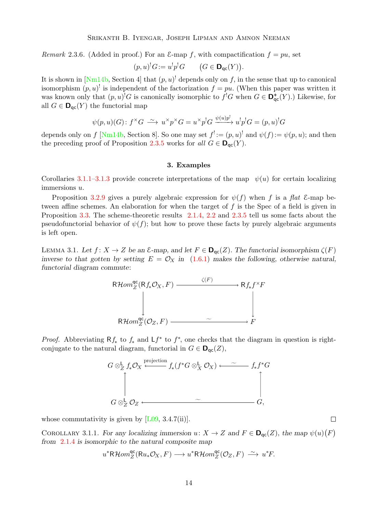<span id="page-13-4"></span><span id="page-13-3"></span>Remark 2.3.6. (Added in proof.) For an  $\mathcal{E}$ -map f, with compactification  $f = pu$ , set

$$
(p, u)^! G := u^! p^! G \qquad (G \in \mathbf{D}_{\mathsf{qc}}(Y)).
$$

It is shown in  $[Nm14b, Section 4]$  that  $(p, u)$ <sup>!</sup> depends only on f, in the sense that up to canonical isomorphism  $(p, u)$  is independent of the factorization  $f = pu$ . (When this paper was written it was known only that  $(p, u)^{!}G$  is canonically isomorphic to  $f^{!}G$  when  $G \in \mathbf{D}_{\mathsf{qc}}^{+}(Y)$ .) Likewise, for all  $G \in \mathbf{D}_{\text{qc}}(Y)$  the functorial map

$$
\psi(p, u)(G) \colon f^{\times}G \longrightarrow u^{\times}p^{\times}G = u^{\times}p^!G \xrightarrow{\psi(u)p^!} u^!p^!G = (p, u)^!G
$$

depends only on f [\[Nm14b,](#page-29-1) Section 8]. So one may set  $f' := (p, u)$ <sup>!</sup> and  $\psi(f) := \psi(p, u)$ ; and then the preceding proof of Proposition [2.3.5](#page-12-0) works for all  $G \in \mathbf{D}_{\text{ac}}(Y)$ .

#### 3. Examples

<span id="page-13-0"></span>Corollaries [3.1.1](#page-13-1)[–3.1.3](#page-14-1) provide concrete interpretations of the map  $\psi(u)$  for certain localizing immersions u.

Proposition [3.2.9](#page-18-1) gives a purely algebraic expression for  $\psi(f)$  when f is a flat E-map between affine schemes. An elaboration for when the target of  $f$  is the Spec of a field is given in Proposition [3.3.](#page-18-0) The scheme-theoretic results [2.1.4,](#page-8-0) [2.2](#page-9-0) and [2.3.5](#page-12-0) tell us some facts about the pseudofunctorial behavior of  $\psi(f)$ ; but how to prove these facts by purely algebraic arguments is left open.

<span id="page-13-2"></span>LEMMA 3.1. Let  $f: X \to Z$  be an  $\mathcal{E}\text{-map}$ , and let  $F \in \mathbf{D}_{\text{qc}}(Z)$ . The functorial isomorphism  $\zeta(F)$ inverse to that gotten by setting  $E = \mathcal{O}_X$  in [\(1.6.1\)](#page-4-1) makes the following, otherwise natural, functorial diagram commute:



*Proof.* Abbreviating  $Rf_*$  to  $f_*$  and  $Lf^*$  to  $f^*$ , one checks that the diagram in question is rightconjugate to the natural diagram, functorial in  $G \in \mathbf{D}_{\text{qc}}(Z)$ ,



whose commutativity is given by  $[L09, 3.4.7(ii)].$ 

<span id="page-13-1"></span>COROLLARY 3.1.1. For any localizing immersion  $u: X \to Z$  and  $F \in \mathbf{D}_{\text{qc}}(Z)$ , the map  $\psi(u)(F)$ from [2.1.4](#page-8-0) is isomorphic to the natural composite map

$$
u^*{\mathsf R}{\mathcal H}om^{{\mathsf{qc}}}_Z({\mathsf R} u_*{\mathcal O}_X,F)\longrightarrow u^*{\mathsf R}{\mathcal H}om^{{\mathsf{qc}}}_Z({\mathcal O}_Z,F)\;\stackrel{\sim}{\longrightarrow}\; u^*F.
$$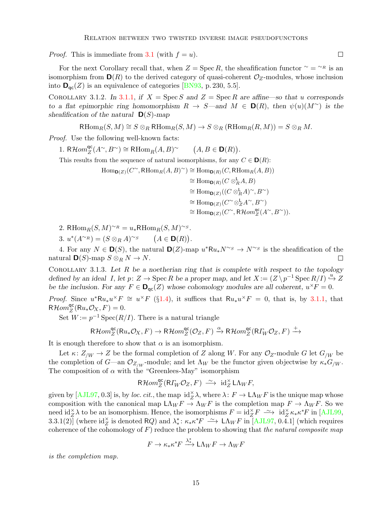<span id="page-14-2"></span>*Proof.* This is immediate from [3.1](#page-13-2) (with  $f = u$ ).

For the next Corollary recall that, when  $Z = \text{Spec } R$ , the sheafification functor  $\gamma = \gamma R$  is an isomorphism from  $\mathbf{D}(R)$  to the derived category of quasi-coherent  $\mathcal{O}_Z$ -modules, whose inclusion into  $\mathbf{D}_{\text{qc}}(Z)$  is an equivalence of categories [\[BN93,](#page-28-9) p. 230, 5.5].

<span id="page-14-0"></span>COROLLARY 3.1.2. In [3.1.1,](#page-13-1) if  $X = \text{Spec } S$  and  $Z = \text{Spec } R$  are affine—so that u corresponds to a flat epimorphic ring homomorphism  $R \to S$ —and  $M \in D(R)$ , then  $\psi(u)(M^{\sim})$  is the sheafification of the natural  $\mathbf{D}(S)$ -map

$$
\mathrm{RHom}_R(S, M) \cong S \otimes_R \mathrm{RHom}_R(S, M) \to S \otimes_R (\mathrm{RHom}_R(R, M)) = S \otimes_R M.
$$

Proof. Use the following well-known facts:

1. R $\mathcal{H}om_Z^{\mathsf{qc}}$  $_{Z}^{\mathsf{qc}}(A^{\sim}, B^{\sim}) \cong \mathsf{R}\mathrm{Hom}_{R}(A, B)^{\sim}$  $(A, B \in \mathbf{D}(R)).$ 

This results from the sequence of natural isomorphisms, for any  $C \in \mathbf{D}(R)$ :

 $\text{Hom}_{\mathbf{D}(Z)}(C^{\sim}, \text{RHom}_R(A, B)^{\sim}) \cong \text{Hom}_{\mathbf{D}(R)}(C, \text{RHom}_R(A, B))$  $\cong \text{Hom}_{\mathbf{D}(R)}(C\otimes_R^{\mathsf{L}} A,B)$  $\cong \text{Hom}_{\mathbf{D}(Z)}((C\otimes_R^{\mathsf{L}} A)^{\sim}, B^{\sim})$  $\cong \text{Hom}_{\mathbf{D}(Z)}(C^{\infty} \otimes_{Z}^{L} A^{\sim}, B^{\sim})$  $\cong \text{Hom}_{\mathbf{D}(Z)}(C^{\sim}, \text{R}\mathcal{H}om_{Z}^{\text{qc}}(A^{\sim}, B^{\sim})).$ 

2. RHom<sub>R</sub> $(S, M)^{\sim R} = u_*$ RHom<sub>R</sub> $(S, M)^{\sim S}$ .

3.  $u^*(A^{\sim_R}) = (S \otimes_R A)^{\sim_S}$   $(A \in \mathbf{D}(R)).$ 

4. For any  $N \in \mathbf{D}(S)$ , the natural  $\mathbf{D}(Z)$ -map  $u^*Ru_*N^{\sim_S} \to N^{\sim_S}$  is the sheafification of the natural  $\mathbf{D}(S)$ -map  $S \otimes_R N \to N$ .  $\Box$ 

<span id="page-14-1"></span>COROLLARY 3.1.3. Let  $R$  be a noetherian ring that is complete with respect to the topology defined by an ideal I, let  $p: Z \to \text{Spec } R$  be a proper map, and let  $X := (Z \setminus p^{-1} \text{Spec } R/I) \stackrel{u}{\hookrightarrow} Z$ be the inclusion. For any  $F \in \mathbf{D}_{\mathsf{qc}}(Z)$  whose cohomology modules are all coherent,  $u^{\times}F = 0$ .

*Proof.* Since  $u^*Ru_*u^{\times}F \cong u^{\times}F$  (§[1.4\)](#page-3-1), it suffices that  $Ru_*u^{\times}F = 0$ , that is, by [3.1.1,](#page-13-1) that  $R\overline{\mathcal{H}om}^{\textsf{qc}}_{Z}$  ${}_{Z}^{qc}(\text{R}u_*\mathcal{O}_X,F)=0.$ 

Set  $W := p^{-1} \operatorname{Spec}(R/I)$ . There is a natural triangle

$$
\mathsf{R}\mathcal{H}om^{\mathsf{qc}}_Z(\mathsf{R} u_*\mathcal{O}_X,F)\rightarrow \mathsf{R}\mathcal{H}om^{\mathsf{qc}}_Z(\mathcal{O}_Z,F)\xrightarrow{\alpha}\mathsf{R}\mathcal{H}om^{\mathsf{qc}}_Z(\mathsf{R}\varGamma_W\mathcal{O}_Z,F)\xrightarrow{+}
$$

It is enough therefore to show that  $\alpha$  is an isomorphism.

Let  $\kappa: Z_{/W} \to Z$  be the formal completion of Z along W. For any  $\mathcal{O}_Z$ -module G let  $G_{/W}$  be the completion of G—an  $\mathcal{O}_{Z/W}$ -module; and let  $\Lambda_W$  be the functor given objectwise by  $\kappa_* G_W$ . The composition of  $\alpha$  with the "Greenlees-May" isomorphism

$$
\mathsf{R}\mathcal{H}om_Z^{\mathrm{qc}}(\mathsf{R}\varGamma_W\mathcal{O}_Z,F)\;\overset{\sim}{\longrightarrow}\; \mathrm{id}_Z^\times\mathsf{L}\Lambda_W F,
$$

given by  $[AJL97, 0.3]$  is, by *loc. cit.*, the map  $\mathrm{id}_{Z}^{\times}\lambda$ , where  $\lambda: F \to L\Lambda_W F$  is the unique map whose composition with the canonical map  $\mathsf{L}\Lambda_W F \to \Lambda_W F$  is the completion map  $F \to \Lambda_W F$ . So we need  $\mathrm{id}_{Z}^{\times} \lambda$  to be an isomorphism. Hence, the isomorphisms  $F = \mathrm{id}_{Z}^{\times} F \longrightarrow \mathrm{id}_{Z}^{\times} \kappa_{*} \kappa^{*} F$  in [\[AJL99,](#page-28-11) 3.3.1(2)] (where  $\mathrm{id}_{Z}^{\times}$  is denoted RQ) and  $\lambda^*_*\colon \kappa_* \kappa^* F \longrightarrow \mathrm{L}\Lambda_W F$  in [\[AJL97,](#page-28-10) 0.4.1] (which requires coherence of the cohomology of  $F$ ) reduce the problem to showing that the natural composite map

$$
F \to \kappa_* \kappa^* F \xrightarrow{\lambda^*} \mathsf{L} \Lambda_W F \to \Lambda_W F
$$

is the completion map.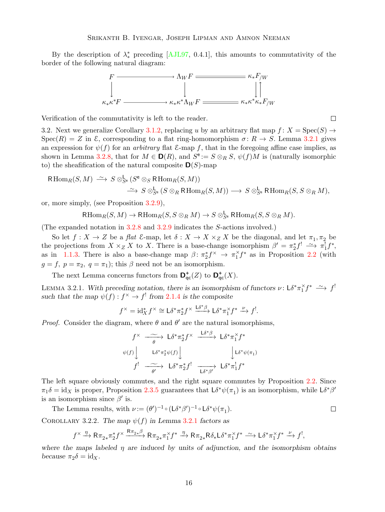<span id="page-15-3"></span>By the description of  $\lambda^*_*$  preceding [\[AJL97,](#page-28-10) 0.4.1], this amounts to commutativity of the border of the following natural diagram:



Verification of the commutativity is left to the reader.

<span id="page-15-2"></span>3.2. Next we generalize Corollary [3.1.2,](#page-14-0) replacing u by an arbitrary flat map  $f: X = \text{Spec}(S) \rightarrow$  $Spec(R) = Z$  in  $\mathcal{E}$ , corresponding to a flat ring-homomorphism  $\sigma: R \to S$ . Lemma [3.2.1](#page-15-0) gives an expression for  $\psi(f)$  for an *arbitrary* flat  $\mathcal{E}$ -map f, that in the foregoing affine case implies, as shown in Lemma [3.2.8,](#page-17-0) that for  $M \in \mathbf{D}(R)$ , and  $S^e := S \otimes_R S$ ,  $\psi(f)M$  is (naturally isomorphic to) the sheafification of the natural composite  $\mathbf{D}(S)$ -map

$$
\begin{aligned} \mathsf{R}\operatorname{Hom}_R(S,M) &\xrightarrow{\sim} S \otimes^{\mathsf{L}}_{S^{\mathsf{e}}}(S^{\mathsf{e}} \otimes_{S} \mathsf{R}\operatorname{Hom}_R(S,M)) \\ &\xrightarrow{\sim} S \otimes^{\mathsf{L}}_{S^{\mathsf{e}}}(S \otimes_{R} \mathsf{R}\operatorname{Hom}_R(S,M)) \longrightarrow S \otimes^{\mathsf{L}}_{S^{\mathsf{e}}} \mathsf{R}\operatorname{Hom}_R(S,S \otimes_{R} M), \end{aligned}
$$

or, more simply, (see Proposition [3.2.9\)](#page-18-1),

$$
\mathrm{RHom}_R(S, M) \to \mathrm{RHom}_R(S, S \otimes_R M) \to S \otimes^{\mathsf{L}}_{S^{\mathbf{e}}} \mathrm{RHom}_R(S, S \otimes_R M).
$$

(The expanded notation in [3.2.8](#page-17-0) and [3.2.9](#page-18-1) indicates the S-actions involved.)

So let  $f: X \to Z$  be a flat  $\mathcal{E}\text{-map}$ , let  $\delta: X \to X \times_Z X$  be the diagonal, and let  $\pi_1, \pi_2$  be the projections from  $X \times_Z X$  to X. There is a base-change isomorphism  $\beta' = \pi_2^* f^! \longrightarrow \pi_1^! f^*$ , as in [1.1.3.](#page-2-4) There is also a base-change map  $\beta: \pi_2^* f^\times \to \pi_1^* f^*$  as in Proposition [2.2](#page-9-0) (with  $g = f, p = \pi_2, q = \pi_1$ ; this  $\beta$  need not be an isomorphism.

The next Lemma concerns functors from  $\mathbf{D}^+_{\mathsf{qc}}(Z)$  to  $\mathbf{D}^+_{\mathsf{qc}}(X)$ .

<span id="page-15-0"></span>LEMMA 3.2.1. With preceding notation, there is an isomorphism of functors  $\nu: L\delta^* \pi_1^{\times} f^* \longrightarrow f^!$ such that the map  $\psi(f) : f^{\times} \to f^{!}$  from [2.1.4](#page-8-0) is the composite

$$
f^{\times} = \mathrm{id}_X^* f^{\times} \cong L \delta^* \pi_2^* f^{\times} \xrightarrow{L \delta^* \beta} L \delta^* \pi_1^{\times} f^* \xrightarrow{\nu} f^!.
$$

*Proof.* Consider the diagram, where  $\theta$  and  $\theta'$  are the natural isomorphisms,

$$
f^{\times} \xrightarrow{\sim} \mathsf{L}\delta^* \pi_2^* f^{\times} \xrightarrow{\mathsf{L}\delta^* \beta} \mathsf{L}\delta^* \pi_1^* f^*
$$
  

$$
\psi(f) \downarrow \qquad \mathsf{L}\delta^* \pi_2^* \psi(f) \downarrow \qquad \qquad \downarrow \mathsf{L}\delta^* \psi(\pi_1)
$$
  

$$
f^! \xrightarrow{\sim} \mathsf{L}\delta^* \pi_2^* f^! \xrightarrow{\sim} \mathsf{L}\delta^* \pi_1^! f^*
$$

The left square obviously commutes, and the right square commutes by Proposition [2.2.](#page-9-0) Since  $\pi_1\delta = \text{id}_X$  is proper, Proposition [2.3.5](#page-12-0) guarantees that  $\mathsf{L}\delta^*\psi(\pi_1)$  is an isomorphism, while  $\mathsf{L}\delta^*\beta'$ is an isomorphism since  $\beta'$  is.

The Lemma results, with  $\nu := (\theta')^{-1} \circ (L \delta^* \beta')^{-1} \circ L \delta^* \psi(\pi_1)$ .  $\Box$ 

<span id="page-15-1"></span>COROLLARY 3.2.2. The map  $\psi(f)$  in Lemma [3.2.1](#page-15-0) factors as

$$
f^{\times} \xrightarrow{\eta} \mathsf{R} \pi_{2*} \pi_{2}^{*} f^{\times} \xrightarrow{\mathsf{R} \pi_{2*} \beta} \mathsf{R} \pi_{2*} \pi_{1}^{*} f^{*} \xrightarrow{\eta} \mathsf{R} \pi_{2*} \mathsf{R} \delta_{*} \mathsf{L} \delta^{*} \pi_{1}^{*} f^{*} \xrightarrow{\sim} \mathsf{L} \delta^{*} \pi_{1}^{*} f^{*} \xrightarrow{\nu} f^{!},
$$

where the maps labeled  $\eta$  are induced by units of adjunction, and the isomorphism obtains because  $\pi_2 \delta = \mathrm{id}_X$ .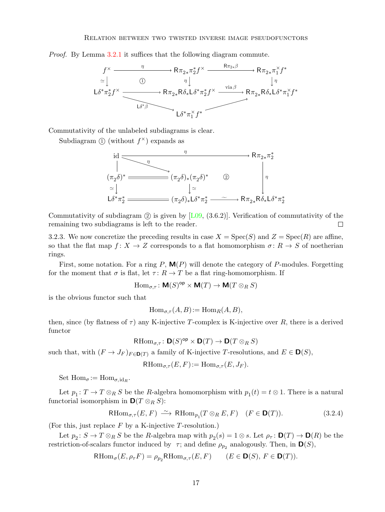<span id="page-16-2"></span>Proof. By Lemma [3.2.1](#page-15-0) it suffices that the following diagram commute.



Commutativity of the unlabeled subdiagrams is clear.

Subdiagram  $\textcircled{1}$  (without  $f^{\times}$ ) expands as



Commutativity of subdiagram  $(2)$  is given by [\[L09,](#page-28-1)  $(3.6.2)$ ]. Verification of commutativity of the remaining two subdiagrams is left to the reader.  $\Box$ 

<span id="page-16-1"></span>3.2.3. We now concretize the preceding results in case  $X = \text{Spec}(S)$  and  $Z = \text{Spec}(R)$  are affine, so that the flat map  $f: X \to Z$  corresponds to a flat homomorphism  $\sigma: R \to S$  of noetherian rings.

First, some notation. For a ring P,  $\mathbf{M}(P)$  will denote the category of P-modules. Forgetting for the moment that  $\sigma$  is flat, let  $\tau: R \to T$  be a flat ring-homomorphism. If

$$
\operatorname{Hom}_{\sigma,\tau}\colon \mathbf{M}(S)^{\mathrm{op}}\times \mathbf{M}(T)\to \mathbf{M}(T\otimes_R S)
$$

is the obvious functor such that

$$
\operatorname{Hom}_{\sigma,\tau}(A,B) := \operatorname{Hom}_R(A,B),
$$

then, since (by flatness of  $\tau$ ) any K-injective T-complex is K-injective over R, there is a derived functor

$$
\mathrm{RHom}_{\sigma,\tau} \colon \mathbf{D}(S)^{\mathrm{op}} \times \mathbf{D}(T) \to \mathbf{D}(T \otimes_R S)
$$

such that, with  $(F \to J_F)_{F \in \mathbf{D}(T)}$  a family of K-injective T-resolutions, and  $E \in \mathbf{D}(S)$ ,

 $RHom_{\sigma\tau}(E, F) := Hom_{\sigma\tau}(E, J_F).$ 

Set  $\text{Hom}_{\sigma} := \text{Hom}_{\sigma, \text{id}_R}$ .

Let  $p_1: T \to T \otimes_R S$  be the R-algebra homomorphism with  $p_1(t) = t \otimes 1$ . There is a natural functorial isomorphism in  $\mathbf{D}(T \otimes_R S)$ :

<span id="page-16-0"></span>
$$
\mathrm{RHom}_{\sigma,\tau}(E,F) \xrightarrow{\sim} \mathrm{RHom}_{p_1}(T \otimes_R E, F) \quad (F \in \mathbf{D}(T)). \tag{3.2.4}
$$

(For this, just replace  $F$  by a K-injective T-resolution.)

Let  $p_2: S \to T \otimes_R S$  be the R-algebra map with  $p_2(s) = 1 \otimes s$ . Let  $\rho_{\tau} \colon \mathbf{D}(T) \to \mathbf{D}(R)$  be the restriction-of-scalars functor induced by  $\tau$ ; and define  $\rho_{p_2}$  analogously. Then, in  $\mathbf{D}(S)$ ,

$$
\mathrm{RHom}_{\sigma}(E, \rho_{\tau} F) = \rho_{p_2} \mathrm{RHom}_{\sigma, \tau}(E, F) \qquad (E \in \mathbf{D}(S), F \in \mathbf{D}(T)).
$$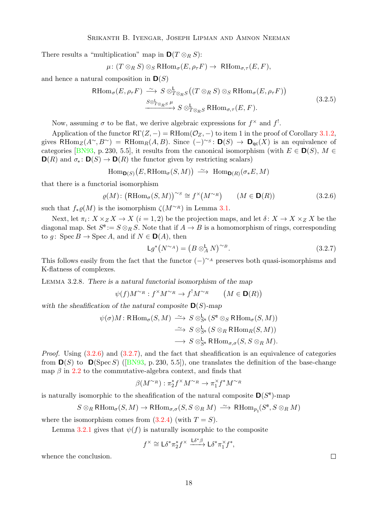<span id="page-17-4"></span>There results a "multiplication" map in  $\mathbf{D}(T \otimes_R S)$ :

$$
\mu\colon (T\otimes_R S)\otimes_S \text{RHom}_{\sigma}(E,\rho_{\tau}F)\to \text{RHom}_{\sigma,\tau}(E,F),
$$

and hence a natural composition in  $\mathbf{D}(S)$ 

<span id="page-17-3"></span>
$$
\text{RHom}_{\sigma}(E, \rho_{\tau}F) \xrightarrow{\sim} S \otimes_{T \otimes_{R}S}^{L} ((T \otimes_{R} S) \otimes_{S} \text{RHom}_{\sigma}(E, \rho_{\tau}F))
$$
\n
$$
\xrightarrow{S \otimes_{T \otimes_{R}S}^{L} \mu} S \otimes_{T \otimes_{R}S}^{L} \text{RHom}_{\sigma, \tau}(E, F).
$$
\n(3.2.5)

Now, assuming  $\sigma$  to be flat, we derive algebraic expressions for  $f^{\times}$  and  $f^{!}$ .

Application of the functor  $\mathsf{RT}(Z, -) = \mathsf{RHom}(\mathcal{O}_Z, -)$  to item 1 in the proof of Corollary [3.1.2,](#page-14-0) gives RHom<sub>Z</sub>(A<sup>∼</sup>, B<sup>∼</sup>) = RHom<sub>R</sub>(A, B). Since  $(-)$ <sup>~s</sup>:  $\mathbf{D}(S) \to \mathbf{D}_{qc}(X)$  is an equivalence of categories [\[BN93,](#page-28-9) p. 230, 5.5], it results from the canonical isomorphism (with  $E \in \mathbf{D}(S)$ ,  $M \in$  $\mathbf{D}(R)$  and  $\sigma_* : \mathbf{D}(S) \to \mathbf{D}(R)$  the functor given by restricting scalars)

$$
\operatorname{Hom}\nolimits_{{\mathsf D}(S)}\big(E,\operatorname{RHom}\nolimits_{\sigma}(S,M)\big)\ \stackrel{\sim}{\longrightarrow}\ \operatorname{Hom}\nolimits_{{\mathsf D}(R)}(\sigma_*E,M)
$$

that there is a functorial isomorphism

<span id="page-17-1"></span>
$$
\varrho(M) \colon \left(\mathrm{RHom}_{\sigma}(S, M)\right)^{\sim S} \cong f^{\times}\left(M^{\sim R}\right) \qquad (M \in \mathbf{D}(R)) \tag{3.2.6}
$$

such that  $f_*\varrho(M)$  is the isomorphism  $\zeta(M^{\sim_R})$  in Lemma [3.1.](#page-13-2)

Next, let  $\pi_i: X \times_Z X \to X$   $(i = 1, 2)$  be the projection maps, and let  $\delta: X \to X \times_Z X$  be the diagonal map. Set  $S^e := S \otimes_R S$ . Note that if  $A \to B$  is a homomorphism of rings, corresponding to g: Spec  $B \to \text{Spec } A$ , and if  $N \in \mathbf{D}(A)$ , then

<span id="page-17-2"></span>
$$
Lg^*(N^{\sim_A}) = \left(B \otimes_A^{\mathsf{L}} N\right)^{\sim_B}.
$$
\n(3.2.7)

This follows easily from the fact that the functor  $(-)^{\sim_A}$  preserves both quasi-isomorphisms and K-flatness of complexes.

<span id="page-17-0"></span>Lemma 3.2.8. There is a natural functorial isomorphism of the map

$$
\psi(f)M^{\sim_R}: f^{\times}M^{\sim_R} \to f^!M^{\sim_R} \qquad (M \in \mathbf{D}(R))
$$

with the sheafification of the natural composite  $\mathbf{D}(S)$ -map

$$
\psi(\sigma)M: \mathrm{RHom}_{\sigma}(S, M) \xrightarrow{\sim} S \otimes_{S^e}^{\mathsf{L}} (S^e \otimes_S \mathrm{RHom}_{\sigma}(S, M))
$$

$$
\xrightarrow{\sim} S \otimes_{S^e}^{\mathsf{L}} (S \otimes_R \mathrm{RHom}_{R}(S, M))
$$

$$
\longrightarrow S \otimes_{S^e}^{\mathsf{L}} \mathrm{RHom}_{\sigma, \sigma}(S, S \otimes_R M).
$$

*Proof.* Using  $(3.2.6)$  and  $(3.2.7)$ , and the fact that sheafification is an equivalence of categories from $\mathbf{D}(S)$  to  $\mathbf{D}(S \text{pec } S)$  ([\[BN93,](#page-28-9) p. 230, 5.5]), one translates the definition of the base-change map  $\beta$  in [2.2](#page-9-0) to the commutative-algebra context, and finds that

$$
\beta(M^{\sim_R}) : \pi_2^* f^\times M^{\sim_R} \to \pi_1^\times f^* M^{\sim_R}
$$

is naturally isomorphic to the sheafification of the natural composite  $\mathsf{D}(S^e)$ -map

$$
S\otimes_R \text{RHom}_{\sigma}(S,M)\to \text{RHom}_{\sigma,\sigma}(S,S\otimes_R M)\ \xrightarrow{\sim} \text{RHom}_{p_1}(S^{\mathsf{e}},S\otimes_R M)
$$

where the isomorphism comes from  $(3.2.4)$  (with  $T = S$ ).

Lemma [3.2.1](#page-15-0) gives that  $\psi(f)$  is naturally isomorphic to the composite

$$
f^{\times} \cong L\delta^* \pi_2^* f^{\times} \xrightarrow{L\delta^* \beta} L\delta^* \pi_1^{\times} f^*,
$$

whence the conclusion.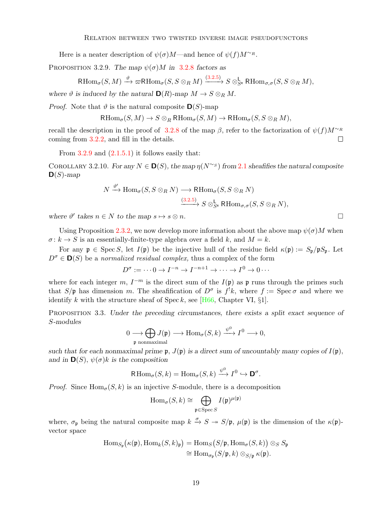<span id="page-18-2"></span>Here is a neater description of  $\psi(\sigma)M$ —and hence of  $\psi(f)M^{\sim R}$ .

<span id="page-18-1"></span>PROPOSITION 3.2.9. The map  $\psi(\sigma)M$  in [3.2.8](#page-17-0) factors as

$$
\text{RHom}_{\sigma}(S, M) \xrightarrow{\vartheta} \varpi \text{RHom}_{\sigma}(S, S \otimes_R M) \xrightarrow{(3.2.5)} S \otimes_{S^e}^{\mathbf{L}} \text{RHom}_{\sigma, \sigma}(S, S \otimes_R M),
$$

where  $\vartheta$  is induced by the natural  $\mathbf{D}(R)$ -map  $M \to S \otimes_R M$ .

*Proof.* Note that  $\vartheta$  is the natural composite  $\mathbf{D}(S)$ -map

$$
\mathrm{RHom}_{\sigma}(S, M) \to S \otimes_R \mathrm{RHom}_{\sigma}(S, M) \to \mathrm{RHom}_{\sigma}(S, S \otimes_R M),
$$

recall the description in the proof of [3.2.8](#page-17-0) of the map  $\beta$ , refer to the factorization of  $\psi(f)M^{\sim_R}$ coming from [3.2.2,](#page-15-1) and fill in the details.  $\Box$ 

From  $3.2.9$  and  $(2.1.5.1)$  it follows easily that:

COROLLARY 3.[2.1](#page-5-0)0. For any  $N \in \mathbf{D}(S)$ , the map  $\eta(N^{\sim s})$  from 2.1 sheaft fies the natural composite  $\mathbf{D}(S)$ -map

$$
N \xrightarrow{\vartheta'} \text{Hom}_{\sigma}(S, S \otimes_R N) \longrightarrow \text{RHom}_{\sigma}(S, S \otimes_R N)
$$
  

$$
\xrightarrow{(3.2.5)} S \otimes_{S^e}^{\mathsf{L}} \text{RHom}_{\sigma,\sigma}(S, S \otimes_R N),
$$

where  $\vartheta'$  takes  $n \in N$  to the map  $s \mapsto s \otimes n$ .

Using Proposition [2.3.2,](#page-10-0) we now develop more information about the above map  $\psi(\sigma)M$  when  $\sigma: k \to S$  is an essentially-finite-type algebra over a field k, and  $M = k$ .

For any  $\mathfrak{p} \in \text{Spec } S$ , let  $I(\mathfrak{p})$  be the injective hull of the residue field  $\kappa(\mathfrak{p}) := S_{\mathfrak{p}}/\mathfrak{p}S_{\mathfrak{p}}$ . Let  $D^{\sigma} \in \mathbf{D}(S)$  be a normalized residual complex, thus a complex of the form

 $D^{\sigma} := \cdots 0 \to I^{-n} \to I^{-n+1} \to \cdots \to I^0 \to 0 \cdots$ 

where for each integer m,  $I^{-m}$  is the direct sum of the  $I(\mathfrak{p})$  as p runs through the primes such that  $S/\mathfrak{p}$  has dimension m. The sheafification of  $D^{\sigma}$  is  $f^{!}k$ , where  $f := \text{Spec}\,\sigma$  and where we identify k with the structure sheaf of Spec k, see [ $H66$ , Chapter VI, §1].

<span id="page-18-0"></span>Proposition 3.3. Under the preceding circumstances, there exists a split exact sequence of S-modules

$$
0 \longrightarrow \bigoplus_{\mathfrak{p} \text{ nonmaximal}} J(\mathfrak{p}) \longrightarrow \text{Hom}_{\sigma}(S,k) \xrightarrow{\psi^0} I^0 \longrightarrow 0,
$$

such that for each nonmaximal prime  $\mathfrak{p}, J(\mathfrak{p})$  is a direct sum of uncountably many copies of  $I(\mathfrak{p})$ , and in  $\mathbf{D}(S)$ ,  $\psi(\sigma)k$  is the composition

$$
\text{R}\operatorname{Hom}_{\sigma}(S,k) = \operatorname{Hom}_{\sigma}(S,k) \xrightarrow{\psi^0} I^0 \hookrightarrow \mathbf{D}^{\sigma}.
$$

*Proof.* Since  $\text{Hom}_{\sigma}(S, k)$  is an injective S-module, there is a decomposition

$$
\operatorname{Hom}_{\sigma}(S,k) \cong \bigoplus_{\mathfrak{p} \in \operatorname{Spec} S} I(\mathfrak{p})^{\mu(\mathfrak{p})}
$$

where,  $\sigma_{\mathfrak{p}}$  being the natural composite map  $k \stackrel{\sigma}{\to} S \twoheadrightarrow S/\mathfrak{p}$ ,  $\mu(\mathfrak{p})$  is the dimension of the  $\kappa(\mathfrak{p})$ vector space

$$
\mathrm{Hom}_{S_{\mathfrak{p}}}(\kappa(\mathfrak{p}), \mathrm{Hom}_k(S, k)_{\mathfrak{p}}) = \mathrm{Hom}_S(S/\mathfrak{p}, \mathrm{Hom}_{\sigma}(S, k)) \otimes_S S_{\mathfrak{p}}
$$

$$
\cong \mathrm{Hom}_{\sigma_{\mathfrak{p}}}(S/\mathfrak{p}, k) \otimes_{S/\mathfrak{p}} \kappa(\mathfrak{p}).
$$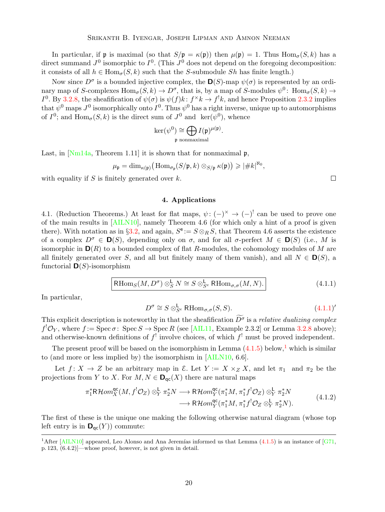<span id="page-19-4"></span>In particular, if **p** is maximal (so that  $S/\mathfrak{p} = \kappa(\mathfrak{p})$ ) then  $\mu(\mathfrak{p}) = 1$ . Thus  $\text{Hom}_{\sigma}(S, k)$  has a direct summand  $J^0$  isomorphic to  $I^0$ . (This  $J^0$  does not depend on the foregoing decomposition: it consists of all  $h \in \text{Hom}_{\sigma}(S, k)$  such that the S-submodule Sh has finite length.)

Now since  $D^{\sigma}$  is a bounded injective complex, the  $\mathbf{D}(S)$ -map  $\psi(\sigma)$  is represented by an ordinary map of S-complexes  $Hom_{\sigma}(S, k) \to D^{\sigma}$ , that is, by a map of S-modules  $\psi^{0}$ :  $Hom_{\sigma}(S, k) \to$  $I^0$ . By [3.2.8,](#page-17-0) the sheafification of  $\psi(\sigma)$  is  $\psi(f)k: f^{\times}k \to f^{\cdot}k$ , and hence Proposition [2.3.2](#page-10-0) implies that  $\psi^0$  maps  $J^0$  isomorphically onto  $I^0$ . Thus  $\psi^0$  has a right inverse, unique up to automorphisms of  $I^0$ ; and  $\text{Hom}_{\sigma}(S, k)$  is the direct sum of  $J^0$  and  $\text{ker}(\psi^0)$ , whence

$$
\ker(\psi^0) \cong \bigoplus_{\mathfrak{p} \text{ nonmaximal}} I(\mathfrak{p})^{\mu(\mathfrak{p})}.
$$

Last, in  $[Nm14a]$ , Theorem 1.11 it is shown that for nonmaximal p,

$$
\mu_{\mathfrak{p}} = \dim_{\kappa(\mathfrak{p})} \big( \operatorname{Hom}_{\sigma_{\mathfrak{p}}}(S/\mathfrak{p}, k) \otimes_{S/\mathfrak{p}} \kappa(\mathfrak{p}) \big) \geqslant |\# k|^{\aleph_0},
$$

with equality if  $S$  is finitely generated over  $k$ .

# 4. Applications

4.1. (Reduction Theorems.) At least for flat maps,  $\psi: (-)^{\times} \to (-)^{!}$  can be used to prove one of the main results in [\[AILN10\]](#page-28-0), namely Theorem 4.6 (for which only a hint of a proof is given there). With notation as in §[3.2,](#page-15-2) and again,  $S^e := S \otimes_R S$ , that Theorem 4.6 asserts the existence of a complex  $D^{\sigma} \in \mathbf{D}(S)$ , depending only on  $\sigma$ , and for all  $\sigma$ -perfect  $M \in \mathbf{D}(S)$  (i.e., M is isomorphic in  $\mathbf{D}(R)$  to a bounded complex of flat R-modules, the cohomology modules of M are all finitely generated over S, and all but finitely many of them vanish), and all  $N \in \mathbf{D}(S)$ , a functorial  $\mathbf{D}(S)$ -isomorphism

<span id="page-19-0"></span>
$$
\mathrm{RHom}_S(M, D^{\sigma}) \otimes_S^{\mathsf{L}} N \cong S \otimes_{S^e}^{\mathsf{L}} \mathrm{RHom}_{\sigma, \sigma}(M, N). \tag{4.1.1}
$$

In particular,

<span id="page-19-1"></span>
$$
D^{\sigma} \cong S \otimes_{S^e}^{\mathsf{L}} \mathsf{RHom}_{\sigma,\sigma}(S,S). \tag{4.1.1}'
$$

This explicit description is noteworthy in that the sheafification  $\widetilde{D}^{\sigma}$  is a relative dualizing complex  $f^{!}\mathcal{O}_{Y}$ , where  $f := \text{Spec } \sigma \colon \text{Spec } S \to \text{Spec } R$  (see [\[AIL11,](#page-28-12) Example 2.3.2] or Lemma [3.2.8](#page-17-0) above); and otherwise-known definitions of  $f^!$  involve choices, of which  $f^!$  must be proved independent.

The present proof will be based on the isomorphism in Lemma  $(4.1.5)$  $(4.1.5)$  $(4.1.5)$  below,<sup>1</sup> which is similar to (and more or less implied by) the isomorphism in [\[AILN10,](#page-28-0) 6.6].

Let  $f: X \to Z$  be an arbitrary map in  $\mathcal{E}$ . Let  $Y := X \times_Z X$ , and let  $\pi_1$  and  $\pi_2$  be the projections from Y to X. For  $M, N \in \mathbf{D}_{\text{qc}}(X)$  there are natural maps

<span id="page-19-3"></span>
$$
\pi_1^* \mathsf{R}\mathcal{H}om_X^{\mathsf{qc}}(M, f^! \mathcal{O}_Z) \otimes_Y^{\mathsf{L}} \pi_2^* N \longrightarrow \mathsf{R}\mathcal{H}om_Y^{\mathsf{qc}}(\pi_1^* M, \pi_1^* f^! \mathcal{O}_Z) \otimes_Y^{\mathsf{L}} \pi_2^* N
$$
\n
$$
\longrightarrow \mathsf{R}\mathcal{H}om_Y^{\mathsf{qc}}(\pi_1^* M, \pi_1^* f^! \mathcal{O}_Z \otimes_Y^{\mathsf{L}} \pi_2^* N). \tag{4.1.2}
$$

The first of these is the unique one making the following otherwise natural diagram (whose top left entry is in  $\mathbf{D}_{\text{qc}}(Y)$  commute:

<span id="page-19-2"></span><sup>&</sup>lt;sup>1</sup>After [\[AILN10\]](#page-28-0) appeared, Leo Alonso and Ana Jeremías informed us that Lemma  $(4.1.5)$  is an instance of [\[G71,](#page-28-13) p. 123, (6.4.2)]—whose proof, however, is not given in detail.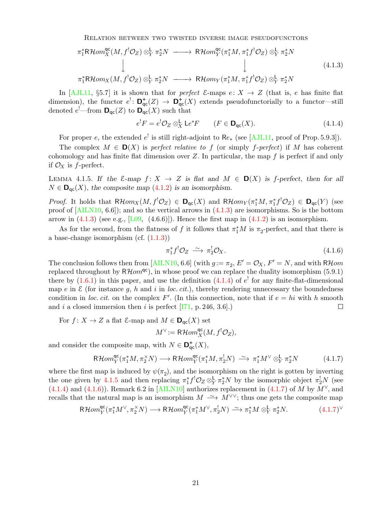<span id="page-20-5"></span>Relation between two twisted inverse image pseudofunctors

<span id="page-20-1"></span>
$$
\pi_1^* \mathsf{R}\mathcal{H}om_X^{\mathsf{qc}}(M, f^! \mathcal{O}_Z) \otimes^{\mathsf{L}}_Y \pi_2^* N \longrightarrow \mathsf{R}\mathcal{H}om_Y^{\mathsf{qc}}(\pi_1^* M, \pi_1^* f^! \mathcal{O}_Z) \otimes^{\mathsf{L}}_Y \pi_2^* N \downarrow
$$
\n
$$
\downarrow \qquad \qquad \downarrow
$$
\n
$$
\pi_1^* \mathsf{R}\mathcal{H}om_X(M, f^! \mathcal{O}_Z) \otimes^{\mathsf{L}}_Y \pi_2^* N \longrightarrow \mathsf{R}\mathcal{H}om_Y(\pi_1^* M, \pi_1^* f^! \mathcal{O}_Z) \otimes^{\mathsf{L}}_Y \pi_2^* N
$$
\n
$$
(4.1.3)
$$

In [\[AJL11,](#page-28-14) §5.7] it is shown that for perfect  $\mathcal{E}$ -maps  $e: X \to Z$  (that is, e has finite flat dimension), the functor  $e^! \colon \mathbf{D}^+_{\mathsf{qc}}(Z) \to \mathbf{D}^+_{\mathsf{qc}}(X)$  extends pseudofunctorially to a functor—still denoted  $e^{\prime}$ —from  $\mathbf{D}_{\mathsf{qc}}(Z)$  to  $\mathbf{D}_{\mathsf{qc}}(X)$  such that

<span id="page-20-2"></span>
$$
e^!F = e^!\mathcal{O}_Z \otimes_X^{\mathsf{L}} \mathsf{L}e^*F \qquad (F \in \mathsf{D}_{\mathsf{qc}}(X). \tag{4.1.4}
$$

For proper e, the extended  $e^!$  is still right-adjoint to  $\text{Re}_*$  (see [\[AJL11,](#page-28-14) proof of Prop. 5.9.3]).

The complex  $M \in \mathbf{D}(X)$  is perfect relative to f (or simply f-perfect) if M has coherent cohomology and has finite flat dimension over  $Z$ . In particular, the map  $f$  is perfect if and only if  $\mathcal{O}_X$  is f-perfect.

<span id="page-20-0"></span>LEMMA 4.1.5. If the  $\mathcal{E}-map$  f:  $X \to Z$  is flat and  $M \in \mathbf{D}(X)$  is f-perfect, then for all  $N \in \mathbf{D}_{\mathrm{qc}}(X)$ , the composite map  $(4.1.2)$  is an isomorphism.

*Proof.* It holds that  $R\mathcal{H}om_X(M, f^!O_Z) \in \mathbf{D}_{qc}(X)$  and  $R\mathcal{H}om_Y(\pi_1^*M, \pi_1^*f^!O_Z) \in \mathbf{D}_{qc}(Y)$  (see proof of [\[AILN10,](#page-28-0) 6.6]); and so the vertical arrows in [\(4.1.3\)](#page-20-1) are isomorphisms. So is the bottom arrow in  $(4.1.3)$  (see e.g., [\[L09,](#page-28-1)  $(4.6.6)$ ]). Hence the first map in  $(4.1.2)$  is an isomorphism.

As for the second, from the flatness of f it follows that  $\pi_1^*M$  is  $\pi_2$ -perfect, and that there is a base-change isomorphism (cf.  $(1.1.3)$ )

<span id="page-20-3"></span>
$$
\pi_1^* f^! \mathcal{O}_Z \xrightarrow{\sim} \pi_2^! \mathcal{O}_X. \tag{4.1.6}
$$

The conclusion follows then from [\[AILN10,](#page-28-0) 6.6] (with  $g := \pi_2$ ,  $E' = \mathcal{O}_X$ ,  $F' = N$ , and with RHom replaced throughout by  $R\mathcal{H}om^{qc}$ , in whose proof we can replace the duality isomorphism (5.9.1) there by  $(1.6.1)$  in this paper, and use the definition  $(4.1.4)$  of  $e^{\perp}$  for any finite-flat-dimensional map e in  $\mathcal E$  (for instance g, h and i in loc. cit.), thereby rendering unnecessary the boundedness condition in loc. cit. on the complex  $F'$ . (In this connection, note that if  $e = hi$  with h smooth and i a closed immersion then i is perfect  $[I71, p. 246, 3.6]$ .  $\Box$ 

For  $f: X \to Z$  a flat  $\mathcal{E}$ -map and  $M \in \mathbf{D}_{\mathrm{qc}}(X)$  set  $M^{\vee} := \mathsf{R}\mathcal{H}om_{X}^{\mathsf{qc}}(M, f^{!}\mathcal{O}_{Z}),$ 

and consider the composite map, with  $N \in \mathbf{D}_{\mathrm{qc}}^{\dagger}(X)$ ,

<span id="page-20-4"></span>
$$
\mathsf{R}\mathcal{H}om_Y^{\mathsf{qc}}(\pi_1^*M, \pi_2^{\times}N) \longrightarrow \mathsf{R}\mathcal{H}om_Y^{\mathsf{qc}}(\pi_1^*M, \pi_2^!N) \stackrel{\sim}{\longrightarrow} \pi_1^*M^{\vee} \otimes_Y^{\mathsf{L}} \pi_2^*N \tag{4.1.7}
$$

where the first map is induced by  $\psi(\pi_2)$ , and the isomorphism on the right is gotten by inverting the one given by [4.1.5](#page-20-0) and then replacing  $\pi_1^* f^! \mathcal{O}_Z \otimes^{\mathsf{L}}_Y \pi_2^* N$  by the isomorphic object  $\pi_2^! N$  (see [\(4.1.4\)](#page-20-2) and [\(4.1.6\)](#page-20-3)). Remark 6.2 in [\[AILN10\]](#page-28-0) authorizes replacement in [\(4.1.7\)](#page-20-4) of M by  $M^{\vee}$ , and recalls that the natural map is an isomorphism  $M \longrightarrow M^{\vee\vee}$ ; thus one gets the composite map

$$
\mathsf{R}\mathcal{H}om_{Y}^{\mathsf{qc}}(\pi_{1}^{*}M^{\vee}, \pi_{2}^{\times}N) \longrightarrow \mathsf{R}\mathcal{H}om_{Y}^{\mathsf{qc}}(\pi_{1}^{*}M^{\vee}, \pi_{2}^{!}N) \stackrel{\sim}{\longrightarrow} \pi_{1}^{*}M \otimes_{Y}^{L} \pi_{2}^{*}N. \tag{4.1.7}^{\vee}
$$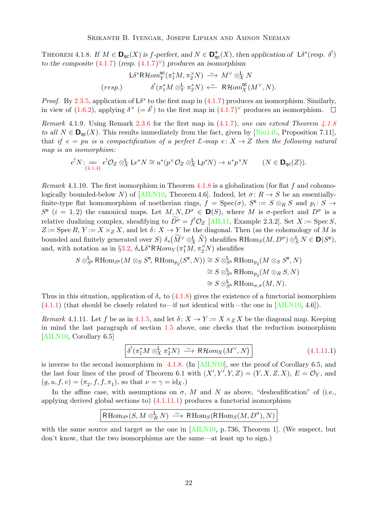<span id="page-21-4"></span><span id="page-21-0"></span>THEOREM 4.1.8. If  $M \in \mathbf{D}_{\text{qc}}(X)$  is f-perfect, and  $N \in \mathbf{D}_{\text{qc}}^+(X)$ , then application of  $\mathsf{L}\delta^*(\text{resp. }\delta^!)$ to the composite  $(4.1.7)$  (resp.  $(4.1.7)^{\vee}$ ) produces an isomorphism

$$
L\delta^* \mathsf{R}\mathcal{H}om_Y^{\mathsf{qc}}(\pi_1^*M, \pi_2^{\times}N) \xrightarrow{\sim} M^{\vee} \otimes_X^{\mathsf{L}} N
$$
  
(resp.)  

$$
\delta^!(\pi_1^*M \otimes_Y^{\mathsf{L}} \pi_2^*N) \xleftarrow{\sim} \mathsf{R}\mathcal{H}om_X^{\mathsf{qc}}(M^{\vee}, N).
$$

*Proof.* By [2.3.5,](#page-12-0) application of  $L\delta^*$  to the first map in [\(4.1.7\)](#page-20-4) produces an isomorphism. Similarly, in view of [\(1.6.2\)](#page-4-2), applying  $\delta^{\times}$  (=  $\delta^{!}$ ) to the first map in [\(4.1.7\)](#page-20-4)<sup> $\vee$ </sup> produces an isomorphism.

Remark 4.1.9. Using Remark [2.3.6](#page-13-3) for the first map in  $(4.1.7)$ , one can extend Theorem [4.1.8](#page-21-0) to all  $N \in \mathbf{D}_{\text{qc}}(X)$ . This results immediately from the fact, given by [\[Nm14b,](#page-29-1) Proposition 7.11], that if  $e = pu$  is a compactification of a perfect  $\mathcal{E}$ -map  $e: X \to Z$  then the following natural map is an isomorphism:

$$
e^!N: \underset{(4.1.4)}{=} e^! \mathcal{O}_Z \otimes_X^{\mathsf{L}} \mathsf{L} e^*N \cong u^*(p^\times \mathcal{O}_Z \otimes_X^{\mathsf{L}} \mathsf{L} p^*N) \to u^*p^\times N \qquad (N \in \mathbf{D}_{\mathsf{qc}}(Z)).
$$

<span id="page-21-3"></span>*Remark* 4.1.10. The first isomorphism in Theorem [4.1.8](#page-21-0) is a globalization (for flat f and cohomologically bounded-below N) of  $[ALIN10, Theorem 4.6]$ . Indeed, let  $\sigma: R \to S$  be an essentiallyfinite-type flat homomorphism of noetherian rings,  $f = \text{Spec}(\sigma)$ ,  $S^e := S \otimes_R S$  and  $p_i : S \to$  $S^e$  (i = 1, 2) the canonical maps. Let  $M, N, D^{\sigma} \in \mathbf{D}(S)$ , where M is  $\sigma$ -perfect and  $D^{\sigma}$  is a relative dualizing complex, sheafifying to  $D^{\sigma} = f^{\dagger} \mathcal{O}_Z$  [\[AIL11,](#page-28-12) Example 2.3.2]. Set  $X := \text{Spec } S$ ,  $Z := \operatorname{Spec} R, Y := X \times_Z X$ , and let  $\delta: X \to Y$  be the diagonal. Then (as the cohomology of M is bounded and finitely generated over S)  $\delta_*(\widetilde{M}^{\vee} \otimes^{\mathbf{L}}_X \widetilde{N})$  sheafifies  $\mathsf{RHom}_S(M, D^{\sigma}) \otimes^{\mathbf{L}}_S N \in \mathbf{D}(S^e)$ , and, with notation as in §[3.2,](#page-15-2)  $\delta_* \mathsf{L} \delta^* \mathsf{R} \mathcal{H} om_Y(\pi_1^* \widetilde{M}, \pi_2^* N)$  sheafifies

$$
S \otimes_{S^e}^{\mathsf{L}} \mathsf{RHom}_{S^e}(M \otimes_S S^e, \mathsf{RHom}_{p_2}(S^e, N)) \cong S \otimes_{S^e}^{\mathsf{L}} \mathsf{RHom}_{p_2}(M \otimes_S S^e, N)
$$
  
\n
$$
\cong S \otimes_{S^e}^{\mathsf{L}} \mathsf{RHom}_{p_2}(M \otimes_R S, N)
$$
  
\n
$$
\cong S \otimes_{S^e}^{\mathsf{L}} \mathsf{RHom}_{\sigma, \sigma}(M, N).
$$

Thus in this situation, application of  $\delta_*$  to [\(4.1.8\)](#page-21-0) gives the existence of a functorial isomorphism  $(4.1.1)$  (that should be closely related to—if not identical with—the one in [\[AILN10,](#page-28-0) 4.6]).

<span id="page-21-1"></span>Remark 4.1.11. Let f be as in [4.1.5,](#page-20-0) and let  $\delta: X \to Y := X \times_Z X$  be the diagonal map. Keeping in mind the last paragraph of section [1.5](#page-4-3) above, one checks that the reduction isomorphism [\[AILN10,](#page-28-0) Corollary 6.5]

<span id="page-21-2"></span>
$$
\boxed{\delta^!(\pi_1^*M \otimes_X^{\mathsf{L}} \pi_2^*N) \xrightarrow{\sim} \mathsf{R}\mathcal{H}om_X(M^\vee, N)}
$$
\n(4.1.11.1)

is inverse to the second isomorphism in  $4.1.8$ . (In [\[AILN10\]](#page-28-0), see the proof of Corollary 6.5, and the last four lines of the proof of Theorem 6.1 with  $(X', Y', Y, Z) = (Y, X, Z, X), E = \mathcal{O}_Y$ , and  $(g, u, f, v) = (\pi_2, f, f, \pi_1)$ , so that  $\nu = \gamma = id_X$ .)

In the affine case, with assumptions on  $\sigma$ , M and N as above, "desheafification" of (i.e., applying derived global sections to) [\(4.1.11.1\)](#page-21-2) produces a functorial isomorphism

$$
\operatorname{RHom}_{S^e}(S, M \otimes_R^{\mathsf{L}} N) \xrightarrow{\sim} \operatorname{RHom}_S(\operatorname{RHom}_S(M, D^{\sigma}), N)
$$

with the same source and target as the one in [\[AILN10,](#page-28-0) p. 736, Theorem 1]. (We suspect, but don't know, that the two isomorphisms are the same—at least up to sign.)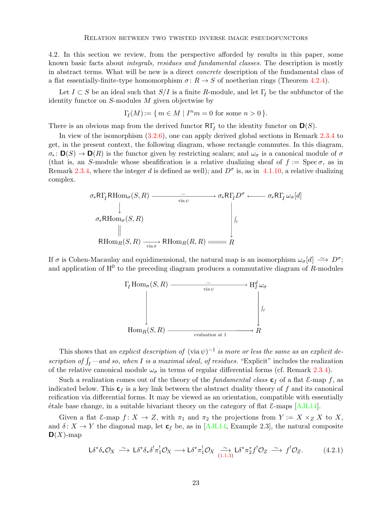<span id="page-22-2"></span><span id="page-22-1"></span>4.2. In this section we review, from the perspective afforded by results in this paper, some known basic facts about integrals, residues and fundamental classes. The description is mostly in abstract terms. What will be new is a direct concrete description of the fundamental class of a flat essentially-finite-type homomorphism  $\sigma: R \to S$  of noetherian rings (Theorem [4.2.4\)](#page-24-1).

Let  $I \subset S$  be an ideal such that  $S/I$  is a finite R-module, and let  $\Gamma_I$  be the subfunctor of the identity functor on  $S$ -modules  $M$  given objectwise by

$$
\Gamma_I(M) := \{ \, m \in M \mid I^n m = 0 \text{ for some } n > 0 \, \}.
$$

There is an obvious map from the derived functor  $R\Gamma_I$  to the identity functor on  $\mathbf{D}(S)$ .

In view of the isomorphism [\(3.2.6\)](#page-17-1), one can apply derived global sections in Remark [2.3.4](#page-11-1) to get, in the present context, the following diagram, whose rectangle commutes. In this diagram,  $\sigma_* : \mathbf{D}(S) \to \mathbf{D}(R)$  is the functor given by restricting scalars; and  $\omega_{\sigma}$  is a canonical module of  $\sigma$ (that is, an S-module whose sheafification is a relative dualizing sheaf of  $f := \text{Spec}\,\sigma$ , as in Remark [2.3.4,](#page-11-1) where the integer d is defined as well); and  $D^{\sigma}$  is, as in [4.1.10,](#page-21-3) a relative dualizing complex.

$$
\sigma_{*}R\Gamma_{I}R\text{Hom}_{\sigma}(S,R) \longrightarrow \widetilde{\sigma_{*}R\Gamma_{I}D^{\sigma}} \longleftarrow \sigma_{*}R\Gamma_{I}\omega_{\sigma}[d]
$$
\n
$$
\sigma_{*}R\text{Hom}_{\sigma}(S,R) \longrightarrow \begin{bmatrix} \downarrow & & & \\ \downarrow & & & \\ \downarrow & & & \\ \text{R}\text{Hom}_{R}(S,R) \longrightarrow & \text{R}\text{Hom}_{R}(R,R) \longrightarrow \text{Hom}_{R}(R,R) \longrightarrow \end{bmatrix}
$$

If  $\sigma$  is Cohen-Macaulay and equidimensional, the natural map is an isomorphism  $\omega_{\sigma}[d] \longrightarrow D^{\sigma}$ ; and application of  $H^0$  to the preceding diagram produces a commutative diagram of R-modules



This shows that an explicit description of  $(\text{via }\psi)^{-1}$  is more or less the same as an explicit description of  $\int_I$  —and so, when I is a maximal ideal, of residues. "Explicit" includes the realization of the relative canonical module  $\omega_{\sigma}$  in terms of regular differential forms (cf. Remark [2.3.4\)](#page-11-1).

Such a realization comes out of the theory of the *fundamental class*  $\mathbf{c}_f$  of a flat  $\mathcal{E}$ -map f, as indicated below. This  $c_f$  is a key link between the abstract duality theory of f and its canonical reification via differential forms. It may be viewed as an orientation, compatible with essentially  $\acute{e}$ tale base change, in a suitable bivariant theory on the category of flat  $\&$ -maps [\[AJL14\]](#page-28-16).

Given a flat  $\mathcal{E}$ -map  $f: X \to Z$ , with  $\pi_1$  and  $\pi_2$  the projections from  $Y := X \times_Z X$  to X, and  $\delta: X \to Y$  the diagonal map, let  $c_f$  be, as in [\[AJL14,](#page-28-16) Example 2.3], the natural composite  $\mathbf{D}(X)$ -map

<span id="page-22-0"></span>
$$
L\delta^*\delta_*\mathcal{O}_X \xrightarrow{\sim} L\delta^*\delta_*\delta^!\pi_1^!\mathcal{O}_X \longrightarrow L\delta^*\pi_1^!\mathcal{O}_X \xrightarrow{\sim} L\delta^*\pi_2^*f^!\mathcal{O}_Z \xrightarrow{\sim} f^!\mathcal{O}_Z. \tag{4.2.1}
$$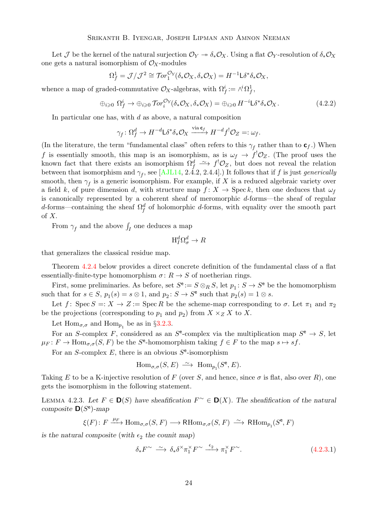<span id="page-23-2"></span>Let J be the kernel of the natural surjection  $\mathcal{O}_Y \to \delta_* \mathcal{O}_X$ . Using a flat  $\mathcal{O}_Y$ -resolution of  $\delta_* \mathcal{O}_X$ one gets a natural isomorphism of  $\mathcal{O}_X$ -modules

$$
\Omega_f^1 = \mathcal{J}/\mathcal{J}^2 \cong \text{Tor}_1^{\mathcal{O}_Y}(\delta_* \mathcal{O}_X, \delta_* \mathcal{O}_X) = H^{-1} \mathsf{L} \delta^* \delta_* \mathcal{O}_X,
$$

whence a map of graded-commutative  $\mathcal{O}_X$ -algebras, with  $\Omega_f^i := \wedge^i \Omega_f^1$ ,

$$
\oplus_{i\geqslant 0} \Omega_f^i \to \oplus_{i\geqslant 0} \operatorname{Tor}_i^{\mathcal{O}_Y}(\delta_* \mathcal{O}_X, \delta_* \mathcal{O}_X) = \oplus_{i\geqslant 0} H^{-i} \mathsf{L} \delta^* \delta_* \mathcal{O}_X. \tag{4.2.2}
$$

In particular one has, with  $d$  as above, a natural composition

$$
\gamma_f \colon \Omega_f^d \to H^{-d} \mathsf{L} \delta^* \delta_* \mathcal{O}_X \xrightarrow{\text{ via } \mathbf{c}_f} H^{-d} f^! \mathcal{O}_Z =: \omega_f.
$$

(In the literature, the term "fundamental class" often refers to this  $\gamma_f$  rather than to  $\mathbf{c}_f$ .) When f is essentially smooth, this map is an isomorphism, as is  $\omega_f \to f^! \mathcal{O}_Z$ . (The proof uses the known fact that there exists an isomorphism  $\Omega_f^d \rightharpoonup f^! \mathcal{O}_Z$ , but does not reveal the relation between that isomorphism and  $\gamma_f$ , see [\[AJL14,](#page-28-16) 2.4.2, 2.4.4].) It follows that if f is just generically smooth, then  $\gamma_f$  is a generic isomorphism. For example, if X is a reduced algebraic variety over a field k, of pure dimension d, with structure map  $f: X \to \text{Spec } k$ , then one deduces that  $\omega_f$ is canonically represented by a coherent sheaf of meromorphic d-forms—the sheaf of regular d-forms—containing the sheaf  $\Omega_f^d$  of holomorphic d-forms, with equality over the smooth part of  $X$ .

From  $\gamma_f$  and the above  $\int_I$  one deduces a map

$$
\mathrm{H}_{I}^{d}\Omega_{\sigma}^{d}\to R
$$

that generalizes the classical residue map.

Theorem [4.2.4](#page-24-1) below provides a direct concrete definition of the fundamental class of a flat essentially-finite-type homomorphism  $\sigma: R \to S$  of noetherian rings.

First, some preliminaries. As before, set  $S^{\e} := S \otimes_R S$ , let  $p_1: S \to S^{\e}$  be the homomorphism such that for  $s \in S$ ,  $p_1(s) = s \otimes 1$ , and  $p_2: S \to S^e$  such that  $p_2(s) = 1 \otimes s$ .

Let f: Spec  $S =: X \to Z := \text{Spec } R$  be the scheme-map corresponding to  $\sigma$ . Let  $\pi_1$  and  $\pi_2$ be the projections (corresponding to  $p_1$  and  $p_2$ ) from  $X \times_Z X$  to X.

Let  $\text{Hom}_{\sigma,\sigma}$  and  $\text{Hom}_{p_1}$  be as in §[3.2.3.](#page-16-1)

For an S-complex F, considered as an  $S^e$ -complex via the multiplication map  $S^e \to S$ , let  $\mu_F: F \to \text{Hom}_{\sigma, \sigma}(S, F)$  be the  $S^e$ -homomorphism taking  $f \in F$  to the map  $s \mapsto sf$ .

For an S-complex  $E$ , there is an obvious  $S^e$ -isomorphism

$$
\text{Hom}_{\sigma,\sigma}(S,E) \ \xrightarrow{\sim} \ \text{Hom}_{p_1}(S^e,E).
$$

Taking E to be a K-injective resolution of F (over S, and hence, since  $\sigma$  is flat, also over R), one gets the isomorphism in the following statement.

<span id="page-23-0"></span>LEMMA 4.2.3. Let  $F \in D(S)$  have sheafification  $F^{\sim} \in D(X)$ . The sheafification of the natural composite  $\mathsf{D}(S^e)$ -map

$$
\xi(F)\colon F\xrightarrow{\mu_F} \operatorname{Hom}_{\sigma,\sigma}(S,F)\longrightarrow \operatorname{RHom}_{\sigma,\sigma}(S,F)\ \xrightarrow{\,\sim\,} \operatorname{RHom}_{p_1}(S^{\mathrm{e}},F)
$$

is the natural composite (with  $\epsilon_2$  the counit map)

<span id="page-23-1"></span>
$$
\delta_* F^\sim \xrightarrow{\sim} \delta_* \delta^\times \pi_1^\times F^\sim \xrightarrow{\epsilon_2} \pi_1^\times F^\sim. \tag{4.2.3.1}
$$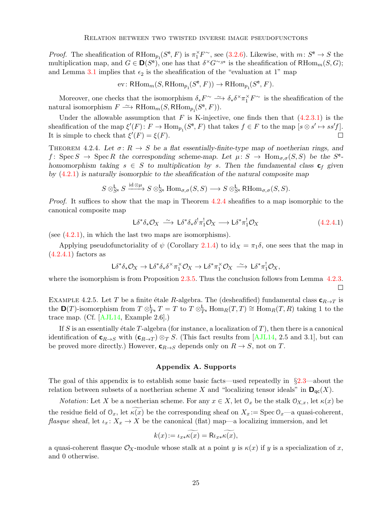<span id="page-24-3"></span>*Proof.* The sheafification of  $\mathsf{RHom}_{p_1}(S^e, F)$  is  $\pi_1^{\times} F^{\sim}$ , see [\(3.2.6\)](#page-17-1). Likewise, with  $m: S^e \to S$  the multiplication map, and  $G \in \mathbf{D}(S^e)$ , one has that  $\delta^{\times}G^{\sim}S^e$  is the sheafification of RHom<sub>m</sub> $(S, G)$ ; and Lemma [3.1](#page-13-2) implies that  $\epsilon_2$  is the sheafification of the "evaluation at 1" map

$$
\text{ev}\colon \text{RHom}_{m}(S,\text{RHom}_{p_1}(S^{\text{e}},F))\to \text{RHom}_{p_1}(S^{\text{e}},F).
$$

Moreover, one checks that the isomorphism  $\delta_* F^\sim \longrightarrow \delta_* \delta^\times \pi_1^\times F^\sim$  is the sheafification of the natural isomorphism  $F \longrightarrow \text{RHom}_m(S, \text{RHom}_{p_1}(S^e, F)).$ 

Under the allowable assumption that F is K-injective, one finds then that  $(4.2.3.1)$  is the sheafification of the map  $\xi'(F) \colon F \to \text{Hom}_{p_1}(S^e, F)$  that takes  $f \in F$  to the map  $[s \otimes s' \mapsto ss'f]$ . It is simple to check that  $\xi'(F) = \xi(F)$ .  $\Box$ 

<span id="page-24-1"></span>THEOREM 4.2.4. Let  $\sigma: R \to S$  be a flat essentially-finite-type map of noetherian rings, and f: Spec  $S \to \text{Spec } R$  the corresponding scheme-map. Let  $\mu \colon S \to \text{Hom}_{\sigma,\sigma}(S,S)$  be the  $S^e$ homomorphism taking  $s \in S$  to multiplication by s. Then the fundamental class  $\mathbf{c}_f$  given by  $(4.2.1)$  is naturally isomorphic to the sheafification of the natural composite map

$$
S\otimes_{S^e}^{\mathsf{L}} S \xrightarrow{\mathrm{id}\otimes\mu} S\otimes_{S^e}^{\mathsf{L}} \mathrm{Hom}_{\sigma,\sigma}(S,S) \longrightarrow S\otimes_{S^e}^{\mathsf{L}} \mathrm{RHom}_{\sigma,\sigma}(S,S).
$$

Proof. It suffices to show that the map in Theorem [4.2.4](#page-24-1) sheafifies to a map isomorphic to the canonical composite map

<span id="page-24-2"></span>
$$
L\delta^*\delta_*\mathcal{O}_X \xrightarrow{\sim} L\delta^*\delta_*\delta^!\pi_1^!\mathcal{O}_X \longrightarrow L\delta^*\pi_1^!\mathcal{O}_X \tag{4.2.4.1}
$$

(see  $(4.2.1)$ , in which the last two maps are isomorphisms).

Applying pseudofunctoriality of  $\psi$  (Corollary [2.1.4\)](#page-8-0) to id $\chi = \pi_1 \delta$ , one sees that the map in  $(4.2.4.1)$  factors as

$$
L \delta^* \delta_* \mathcal{O}_X \to L \delta^* \delta_* \delta^\times \pi_1^\times \mathcal{O}_X \to L \delta^* \pi_1^\times \mathcal{O}_X \stackrel{\sim}{\longrightarrow} L \delta^* \pi_1^! \mathcal{O}_X,
$$

where the isomorphism is from Proposition [2.3.5.](#page-12-0) Thus the conclusion follows from Lemma [4.2.3.](#page-23-0)  $\Box$ 

EXAMPLE 4.2.5. Let T be a finite étale R-algebra. The (desheafified) fundamental class  $\mathbf{c}_{R\rightarrow T}$  is the  $\mathbf{D}(T)$ -isomorphism from  $T \otimes_{T_e}^{\mathsf{L}} T = T$  to  $T \otimes_{T_e}^{\mathsf{L}} \text{Hom}_R(T,T) \cong \text{Hom}_R(T,R)$  taking 1 to the trace map. (Cf. [\[AJL14,](#page-28-16) Example 2.6].)

If S is an essentially étale T-algebra (for instance, a localization of  $T$ ), then there is a canonical identification of  $\mathbf{c}_{R\to S}$  with  $(\mathbf{c}_{R\to T}) \otimes_T S$ . (This fact results from [\[AJL14,](#page-28-16) 2.5 and 3.1], but can be proved more directly.) However,  $\mathbf{c}_{R\to S}$  depends only on  $R \to S$ , not on T.

#### Appendix A. Supports

<span id="page-24-0"></span>The goal of this appendix is to establish some basic facts—used repeatedly in §[2.3—](#page-10-2)about the relation between subsets of a noetherian scheme X and "localizing tensor ideals" in  $\mathbf{D}_{\text{qc}}(X)$ .

*Notation*: Let X be a noetherian scheme. For any  $x \in X$ , let  $\mathcal{O}_x$  be the stalk  $\mathcal{O}_{X,x}$ , let  $\kappa(x)$  be the residue field of  $\mathcal{O}_x$ , let  $\kappa(x)$  be the corresponding sheaf on  $X_x := \text{Spec } \mathcal{O}_x$ —a quasi-coherent, flasque sheaf, let  $\iota_x \colon X_x \to X$  be the canonical (flat) map—a localizing immersion, and let

$$
k(x) := \widetilde{\iota_{x*} \kappa(x)} = \widetilde{\kappa_{x*} \kappa(x)},
$$

a quasi-coherent flasque  $\mathcal{O}_X$ -module whose stalk at a point y is  $\kappa(x)$  if y is a specialization of x, and 0 otherwise.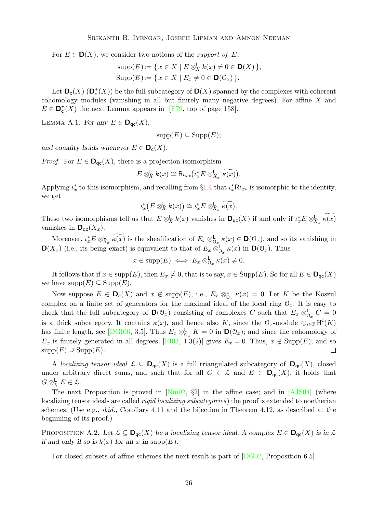<span id="page-25-2"></span>For  $E \in \mathbf{D}(X)$ , we consider two notions of the *support of* E:

$$
supp(E) := \{ x \in X \mid E \otimes_X^{\mathsf{L}} k(x) \neq 0 \in \mathsf{D}(X) \},
$$
  
\n
$$
Supp(E) := \{ x \in X \mid E_x \neq 0 \in \mathsf{D}(\mathcal{O}_x) \}.
$$

Let  $\mathbf{D}_{\mathsf{c}}(X)$  ( $\mathbf{D}_{\mathsf{c}}^{+}(X)$ ) be the full subcategory of  $\mathbf{D}(X)$  spanned by the complexes with coherent cohomology modules (vanishing in all but finitely many negative degrees). For affine X and  $E \in \mathbf{D}_{\mathsf{c}}^{+}(X)$  the next Lemma appears in [\[F79,](#page-28-17) top of page 158].

<span id="page-25-0"></span>LEMMA A.1. For any  $E \in \mathbf{D}_{\mathrm{qc}}(X)$ ,

$$
supp(E) \subseteq Supp(E);
$$

and equality holds whenever  $E \in \mathbf{D}_{c}(X)$ .

*Proof.* For  $E \in \mathbf{D}_{\text{qc}}(X)$ , there is a projection isomorphism

$$
E \otimes_X^{\mathsf{L}} k(x) \cong \mathsf{R} \iota_{x*} \bigl( \iota_x^* E \otimes_{X_x}^{\mathsf{L}} \widetilde{\kappa(x)} \bigr).
$$

Applying  $\iota_x^*$  to this isomorphism, and recalling from §[1.4](#page-3-1) that  $\iota_x^* \mathsf{R} \iota_{x*}$  is isomorphic to the identity, we get

$$
\iota_x^*\big(E\otimes_X^{\mathsf{L}}k(x)\big)\cong \iota_x^*E\otimes_{X_x}^{\mathsf{L}}\widetilde{\kappa(x)}.
$$

These two isomorphisms tell us that  $E \otimes_X^{\mathsf{L}} k(x)$  vanishes in  $\mathsf{D}_{\mathsf{qc}}(X)$  if and only if  $\iota_x^* E \otimes_{X_x}^{\mathsf{L}} \kappa(x)$ vanishes in  $\mathbf{D}_{\text{qc}}(X_x)$ .

Moreover,  $\iota_x^* E \otimes_{X_x}^{\mathbf{L}} \kappa(x)$  is the sheafification of  $E_x \otimes_{\mathcal{O}_x}^{\mathbf{L}} \kappa(x) \in \mathbf{D}(\mathcal{O}_x)$ , and so its vanishing in  $\mathbf{D}(X_x)$  (i.e., its being exact) is equivalent to that of  $E_x \otimes_{\mathcal{O}_x}^{\mathsf{L}} \kappa(x)$  in  $\mathbf{D}(\mathcal{O}_x)$ . Thus

$$
x \in \mathrm{supp}(E) \iff E_x \otimes_{\mathcal{O}_x}^{\mathsf{L}} \kappa(x) \neq 0.
$$

It follows that if  $x \in \text{supp}(E)$ , then  $E_x \neq 0$ , that is to say,  $x \in \text{Supp}(E)$ . So for all  $E \in \mathbf{D}_{\text{qc}}(X)$ we have  $\text{supp}(E) \subseteq \text{Supp}(E)$ .

Now suppose  $E \in \mathbf{D}_c(X)$  and  $x \notin \text{supp}(E)$ , i.e.,  $E_x \otimes_{\mathcal{O}_x}^{\mathsf{L}} \kappa(x) = 0$ . Let K be the Koszul complex on a finite set of generators for the maximal ideal of the local ring  $\mathcal{O}_x$ . It is easy to check that the full subcategory of  $\mathbf{D}(\mathcal{O}_x)$  consisting of complexes C such that  $E_x \otimes_{\mathcal{O}_x}^{\mathcal{L}} C = 0$ is a thick subcategory. It contains  $\kappa(x)$ , and hence also K, since the  $\mathcal{O}_x$ -module  $\bigoplus_{i\in\mathbb{Z}}\text{H}^i(K)$ has finite length, see [\[DGI06,](#page-28-18) 3.5]. Thus  $E_x \otimes_{\mathcal{O}_x}^{\mathsf{L}} K = 0$  in  $\mathsf{D}(\mathcal{O}_x)$ ; and since the cohomology of  $E_x$  is finitely generated in all degrees, [\[FI03,](#page-28-19) 1.3(2)] gives  $E_x = 0$ . Thus,  $x \notin \text{Supp}(E)$ ; and so  $supp(E) \supseteq$  Supp $(E)$ .  $\Box$ 

A localizing tensor ideal  $\mathcal{L} \subseteq \mathbf{D}_{\text{qc}}(X)$  is a full triangulated subcategory of  $\mathbf{D}_{\text{qc}}(X)$ , closed under arbitrary direct sums, and such that for all  $G \in \mathcal{L}$  and  $E \in \mathbf{D}_{\text{qc}}(X)$ , it holds that  $G \otimes_X^{\mathsf{L}} E \in \mathcal{L}.$ 

The next Proposition is proved in  $[Nm92, §2]$  in the affine case; and in [\[AJS04\]](#page-28-5) (where localizing tensor ideals are called *rigid localizing subcategories*) the proof is extended to noetherian schemes. (Use e.g., ibid., Corollary 4.11 and the bijection in Theorem 4.12, as described at the beginning of its proof.)

<span id="page-25-1"></span>PROPOSITION A.2. Let  $\mathcal{L} \subseteq \mathbf{D}_{\mathsf{qc}}(X)$  be a localizing tensor ideal. A complex  $E \in \mathbf{D}_{\mathsf{qc}}(X)$  is in  $\mathcal{L}$ if and only if so is  $k(x)$  for all x in supp $(E)$ .

For closed subsets of affine schemes the next result is part of [\[DG02,](#page-28-21) Proposition 6.5].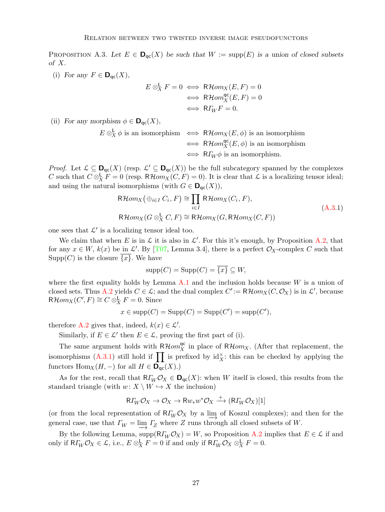<span id="page-26-2"></span><span id="page-26-0"></span>PROPOSITION A.3. Let  $E \in \mathbf{D}_{\text{qc}}(X)$  be such that  $W := \text{supp}(E)$  is a union of closed subsets of X.

(i) For any  $F \in \mathbf{D}_{\mathrm{qc}}(X)$ ,

$$
E \otimes_X^{\mathsf{L}} F = 0 \iff \mathsf{R}\mathcal{H}om_X(E, F) = 0
$$
  

$$
\iff \mathsf{R}\mathcal{H}om_X^{\mathsf{qc}}(E, F) = 0
$$
  

$$
\iff \mathsf{R}\mathcal{I}_W F = 0.
$$

(ii) For any morphism  $\phi \in \mathbf{D}_{\mathsf{qc}}(X)$ ,

$$
E \otimes_X^{\mathsf{L}} \phi \text{ is an isomorphism} \iff \mathsf{R}\mathcal{H}om_X(E,\phi) \text{ is an isomorphism}
$$
  

$$
\iff \mathsf{R}\mathcal{H}om_X^{\mathsf{qc}}(E,\phi) \text{ is an isomorphism}
$$
  

$$
\iff \mathsf{R}\mathcal{I}_W\phi \text{ is an isomorphism.}
$$

*Proof.* Let  $\mathcal{L} \subseteq \mathbf{D}_{\text{qc}}(X)$  (resp.  $\mathcal{L}' \subseteq \mathbf{D}_{\text{qc}}(X)$ ) be the full subcategory spanned by the complexes C such that  $C \otimes_X^{\mathsf{L}} F = 0$  (resp.  $R\mathcal{H}om_X(C, F) = 0$ ). It is clear that  $\mathcal L$  is a localizing tensor ideal; and using the natural isomorphisms (with  $G \in \mathbf{D}_{\text{qc}}(X)$ ),

$$
\mathsf{R}\mathcal{H}om_X(\bigoplus_{i\in I} C_i, F) \cong \prod_{i\in I} \mathsf{R}\mathcal{H}om_X(C_i, F),
$$
\n
$$
\mathsf{R}\mathcal{H}om_X(G \otimes_X^{\mathsf{L}} C, F) \cong \mathsf{R}\mathcal{H}om_X(G, \mathsf{R}\mathcal{H}om_X(C, F))
$$
\n(A.3.1)

one sees that  $\mathcal{L}'$  is a localizing tensor ideal too.

We claim that when E is in  $\mathcal L$  it is also in  $\mathcal L'$ . For this it's enough, by Proposition [A.2,](#page-25-1) that for any  $x \in W$ ,  $k(x)$  be in  $\mathcal{L}'$ . By [\[T07,](#page-29-3) Lemma 3.4], there is a perfect  $\mathcal{O}_X$ -complex C such that  $\text{Supp}(C)$  is the closure  $\{x\}$ . We have

<span id="page-26-1"></span>
$$
supp(C) = Supp(C) = \overline{\{x\}} \subseteq W,
$$

where the first equality holds by Lemma  $A.1$  and the inclusion holds because W is a union of closed sets. Thus [A.2](#page-25-1) yields  $C \in \mathcal{L}$ ; and the dual complex  $C' := \mathsf{R}\mathcal{H}om_X(C, \mathcal{O}_X)$  is in  $\mathcal{L}'$ , because  $R\mathcal{H}om_X(C',F) \cong C \otimes_X^{\mathsf{L}} F = 0.$  Since

$$
x \in \text{supp}(C) = \text{Supp}(C) = \text{Supp}(C') = \text{supp}(C'),
$$

therefore [A.2](#page-25-1) gives that, indeed,  $k(x) \in \mathcal{L}'$ .

Similarly, if  $E \in \mathcal{L}'$  then  $E \in \mathcal{L}$ , proving the first part of (i).

The same argument holds with  $R\mathcal{H}om_X^{\mathsf{qc}}$  in place of  $R\mathcal{H}om_X$ . (After that replacement, the isomorphisms  $(A.3.1)$  still hold if  $\prod$  is prefixed by id<sub>X</sub>: this can be checked by applying the functors  $\text{Hom}_X(H, -)$  for all  $H \in \mathbf{D}_{\text{qc}}(X)$ .)

As for the rest, recall that  $R\Gamma_W \mathcal{O}_X \in \mathbf{D}_{\text{qc}}(X)$ : when W itself is closed, this results from the standard triangle (with  $w: X \setminus W \hookrightarrow X$  the inclusion)

$$
\mathsf{R}\varGamma_W\mathcal{O}_X\to\mathcal{O}_X\to\mathsf{R}\!\mathit{w}_*\mathit{w}^*\mathcal{O}_X\overset{+}{\longrightarrow}(\mathsf{R}\varGamma_W\mathcal{O}_X)[1]
$$

(or from the local representation of  $R\Gamma_W\mathcal{O}_X$  by a lim of Koszul complexes); and then for the general case, use that  $\varGamma_W = \varinjlim \varGamma_Z$  where  $Z$  runs through all closed subsets of W.

By the following Lemma,  $\text{supp}(\mathsf{R}\Gamma_W\mathcal{O}_X)=W$ , so Proposition [A.2](#page-25-1) implies that  $E\in\mathcal{L}$  if and only if  $R\varGamma_W\mathcal{O}_X\in\mathcal{L}$ , i.e.,  $E\otimes^{\mathsf{L}}_X F=0$  if and only if  $R\varGamma_W\mathcal{O}_X\otimes^{\mathsf{L}}_X F=0$ .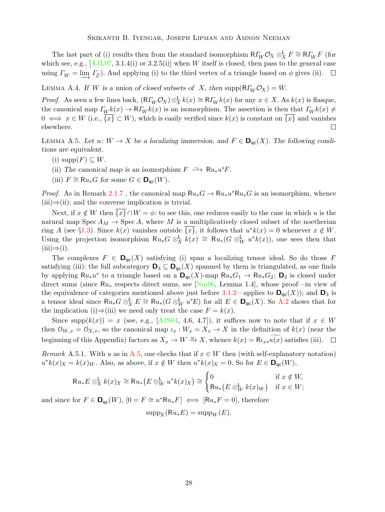<span id="page-27-3"></span>The last part of (i) results then from the standard isomorphism  $R\Gamma_W\mathcal{O}_X \otimes^{\mathsf{L}}_X F \cong R\Gamma_W F$  (for which see, e.g.,  $[AJL97, 3.1.4(i)$  or  $3.2.5(i)]$  when W itself is closed, then pass to the general case using  $\Gamma_W = \varinjlim I_Z$ ). And applying (i) to the third vertex of a triangle based on  $\phi$  gives (ii).

<span id="page-27-0"></span>LEMMA A.4. If W is a union of closed subsets of X, then supp $(R\Gamma_W\mathcal{O}_X) = W$ .

*Proof.* As seen a few lines back,  $(R\Gamma_W \mathcal{O}_X) \otimes^{\mathsf{L}}_X k(x) \cong R\Gamma_W k(x)$  for any  $x \in X$ . As  $k(x)$  is flasque, the canonical map  $\Gamma_W k(x) \to \mathsf{R}\Gamma_W k(x)$  is an isomorphism. The assertion is then that  $\Gamma_W k(x) \neq$  $0 \iff x \in W$  (i.e.,  $\{x\} \subset W$ ), which is easily verified since  $k(x)$  is constant on  $\{x\}$  and vanishes elsewhere.  $\Box$ 

<span id="page-27-2"></span>LEMMA A.5. Let  $u: W \to X$  be a localizing immersion, and  $F \in \mathbf{D}_{\text{qc}}(X)$ . The following conditions are equivalent.

- (i)  $\text{supp}(F) \subseteq W$ .
- (ii) The canonical map is an isomorphism  $F \rightharpoonup \mathcal{R} u_* u^* F$ .
- (iii)  $F \cong \mathsf{R} u_*G$  for some  $G \in \mathsf{D}_{\mathsf{qc}}(W)$ .

*Proof.* As in Remark [2.1.7](#page-8-3), the canonical map  $Ru_*G \to Ru_*u^*Ru_*G$  is an isomorphism, whence  $(iii) \Rightarrow (ii)$ ; and the converse implication is trivial.

Next, if  $x \notin W$  then  $\{x\} \cap W = \phi$ : to see this, one reduces easily to the case in which u is the natural map Spec  $A_M \to \text{Spec } A$ , where M is a multiplicatively closed subset of the noetherian ring A (see §[1.3\)](#page-3-2). Since  $k(x)$  vanishes outside  $\overline{\{x\}}$ , it follows that  $u^*k(x) = 0$  whenever  $x \notin W$ . Using the projection isomorphism  $Ru_*G \otimes^{\mathbf{L}}_X k(x) \cong Ru_*(G \otimes^{\mathbf{L}}_W u^*k(x))$ , one sees then that  $(iii) \Rightarrow (i).$ 

The complexes  $F \in \mathbf{D}_{\text{ac}}(X)$  satisfying (i) span a localizing tensor ideal. So do those F satisfying (iii): the full subcategory  $\mathbf{D}_3 \subseteq \mathbf{D}_{\mathsf{qc}}(X)$  spanned by them is triangulated, as one finds by applying  $Ru_*u^*$  to a triangle based on a  $\mathbf{D}_{\text{qc}}(X)$ -map  $Ru_*G_1 \to Ru_*G_2$ ;  $\mathbf{D}_3$  is closed under direct sums (since Ru<sup>∗</sup> respects direct sums, see [\[Nm96,](#page-29-4) Lemma 1.4], whose proof—in view of the equivalence of categories mentioned above just before [3.1.2—](#page-14-0)applies to  $\mathbf{D}_{\text{qc}}(X)$ ); and  $\mathbf{D}_3$  is a tensor ideal since  $Ru_* G \otimes_X^{\mathsf{L}} E \cong Ru_*(G \otimes_W^{\mathsf{L}} u^*E)$  for all  $E \in \mathsf{D}_{\mathsf{qc}}(X)$ . So [A.2](#page-25-1) shows that for the implication (i)⇒(iii) we need only treat the case  $F = k(x)$ .

Since supp $(k(x)) = x$  (see, e.g., [\[AJS04,](#page-28-5) 4.6, 4.7]), it suffices now to note that if  $x \in W$ then  $\mathcal{O}_{W,x} = \mathcal{O}_{X,x}$ , so the canonical map  $\iota_x : W_x = X_x \to X$  in the definition of  $k(x)$  (near the beginning of this Appendix) factors as  $X_x \to W \xrightarrow{u} X$ , whence  $k(x) = \mathsf{R}_{L_x k}(x)$  satisfies (iii).  $\Box$ 

<span id="page-27-1"></span>Remark A.5.1. With u as in [A.5,](#page-27-2) one checks that if  $x \in W$  then (with self-explanatory notation)  $u^*k(x)_X = k(x)_W$ . Also, as above, if  $x \notin W$  then  $u^*k(x)_X = 0$ . So for  $E \in \mathbf{D}_{\mathsf{qc}}(W)$ ,

$$
\mathsf{R} u_* E \otimes_X^{\mathsf{L}} k(x)_X \cong \mathsf{R} u_* \big( E \otimes_W^{\mathsf{L}} u^* k(x)_X \big) \cong \begin{cases} 0 & \text{if } x \notin W, \\ \mathsf{R} u_* \big( E \otimes_W^{\mathsf{L}} k(x)_W \big) & \text{if } x \in W; \end{cases}
$$

and since for  $F \in \mathbf{D}_{\mathsf{qc}}(W)$ ,  $[0] F \cong u^* \mathsf{R} u_* F \longrightarrow [\mathsf{R} u_* F = 0]$ , therefore

$$
supp_X(Ru_*E) = supp_W(E).
$$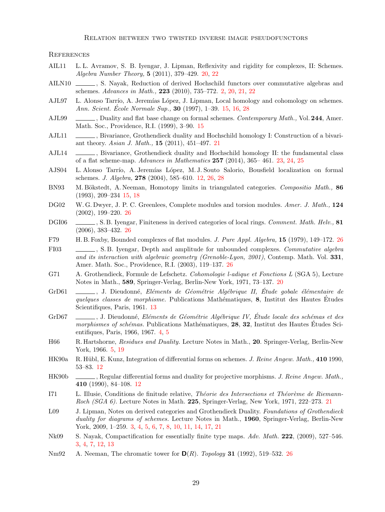Relation between two twisted inverse image pseudofunctors

**REFERENCES** 

- <span id="page-28-12"></span>AIL11 L. L. Avramov, S. B. Iyengar, J. Lipman, Reflexivity and rigidity for complexes, II: Schemes. Algebra Number Theory, 5 (2011), 379–429. [20,](#page-19-4) [22](#page-21-4)
- <span id="page-28-0"></span>AILN10 , S. Nayak, Reduction of derived Hochschild functors over commutative algebras and schemes. Advances in Math., 223 (2010), 735–772. [2,](#page-1-1) [20,](#page-19-4) [21,](#page-20-5) [22](#page-21-4)
- <span id="page-28-10"></span>AJL97 L. Alonso Tarrío, A. Jeremías López, J. Lipman, Local homology and cohomology on schemes. Ann. Scient. École Normale Sup., **30** (1997), 1–39. [15,](#page-14-2) [16,](#page-15-3) [28](#page-27-3)
- <span id="page-28-11"></span>AJL99 , Duality and flat base change on formal schemes. Contemporary Math., Vol. 244, Amer. Math. Soc., Providence, R.I. (1999), 3–90. [15](#page-14-2)
- <span id="page-28-14"></span>AJL11 (Bivariance, Grothendieck duality and Hochschild homology I: Construction of a bivariant theory. Asian J. Math., 15 (2011), 451–497. [21](#page-20-5)
- <span id="page-28-16"></span>AJL14 , Bivariance, Grothendieck duality and Hochschild homology II: the fundamental class of a flat scheme-map. Advances in Mathematics 257 (2014), 365– 461. [23,](#page-22-2) [24,](#page-23-2) [25](#page-24-3)
- <span id="page-28-5"></span>AJS04 L. Alonso Tarrío, A. Jeremías López, M. J. Souto Salorio, Bousfield localization on formal schemes. J. Algebra, 278 (2004), 585–610. [12,](#page-11-2) [26,](#page-25-2) [28](#page-27-3)
- <span id="page-28-9"></span>BN93 M. Bökstedt, A. Neeman, Homotopy limits in triangulated categories. Compositio Math., 86 (1993), 209–234 [15,](#page-14-2) [18](#page-17-4)
- <span id="page-28-21"></span>DG02 W. G. Dwyer, J. P. C. Greenlees, Complete modules and torsion modules. Amer. J. Math., 124 (2002), 199–220. [26](#page-25-2)
- <span id="page-28-18"></span>DGI06 , S. B. Iyengar, Finiteness in derived categories of local rings. Comment. Math. Helv., 81 (2006), 383–432. [26](#page-25-2)
- <span id="page-28-17"></span>F79 H. B. Foxby, Bounded complexes of flat modules. J. Pure Appl. Algebra, 15 (1979), 149–172. [26](#page-25-2)
- <span id="page-28-19"></span>FI03 . S.B. Iyengar, Depth and amplitude for unbounded complexes. Commutative algebra and its interaction with algebraic geometry (Grenoble-Lyon, 2001), Contemp. Math. Vol. 331, Amer. Math. Soc., Providence, R.I. (2003), 119–137. [26](#page-25-2)
- <span id="page-28-13"></span>G71 A. Grothendieck, Formule de Lefschetz. Cohomologie l-adique et Fonctions L (SGA 5), Lecture Notes in Math., 589, Springer-Verlag, Berlin-New York, 1971, 73–137. [20](#page-19-4)
- <span id="page-28-8"></span>GrD61 , J. Dieudonné, Eléments de Géométrie Algébrique II, Étude gobale élémentaire de quelques classes de morphisme. Publications Mathématiques, 8, Institut des Hautes Études Scientifiques, Paris, 1961, [13](#page-12-7)
- <span id="page-28-3"></span>GrD67 , J. Dieudonné, Eléments de Géométrie Algébrique IV, Étude locale des schémas et des morphismes of schémas. Publications Mathématiques, 28, 32, Institut des Hautes Études Scientifiques, Paris, 1966, 1967. [4,](#page-3-3) [5](#page-4-4)
- <span id="page-28-4"></span>H66 R. Hartshorne, Residues and Duality. Lecture Notes in Math., 20. Springer-Verlag, Berlin-New York, 1966. [5,](#page-4-4) [19](#page-18-2)
- <span id="page-28-6"></span>HK90a R. Hübl, E. Kunz, Integration of differential forms on schemes. J. Reine Angew. Math., 410 1990, 53–83. [12](#page-11-2)
- <span id="page-28-7"></span>HK90b , Regular differential forms and duality for projective morphisms. J. Reine Angew. Math., 410 (1990), 84–108. [12](#page-11-2)
- <span id="page-28-15"></span>I71 L. Illusie, Conditions de finitude relative, Théorie des Intersections et Théorème de Riemann-Roch (SGA 6). Lecture Notes in Math. 225, Springer-Verlag, New York, 1971, 222–273. [21](#page-20-5)
- <span id="page-28-1"></span>L09 J. Lipman, Notes on derived categories and Grothendieck Duality. Foundations of Grothendieck duality for diagrams of schemes. Lecture Notes in Math., 1960, Springer-Verlag, Berlin-New York, 2009, 1–259. [3,](#page-2-5) [4,](#page-3-3) [5,](#page-4-4) [6,](#page-5-2) [7,](#page-6-2) [8,](#page-7-0) [10,](#page-9-1) [11,](#page-10-3) [14,](#page-13-4) [17,](#page-16-2) [21](#page-20-5)
- <span id="page-28-2"></span>Nk09 S. Nayak, Compactification for essentially finite type maps. Adv. Math. 222, (2009), 527–546. [3,](#page-2-5) [4,](#page-3-3) [7,](#page-6-2) [12,](#page-11-2) [13](#page-12-7)
- <span id="page-28-20"></span>Nm92 A. Neeman, The chromatic tower for  $\mathbf{D}(R)$ . Topology 31 (1992), 519–532. [26](#page-25-2)